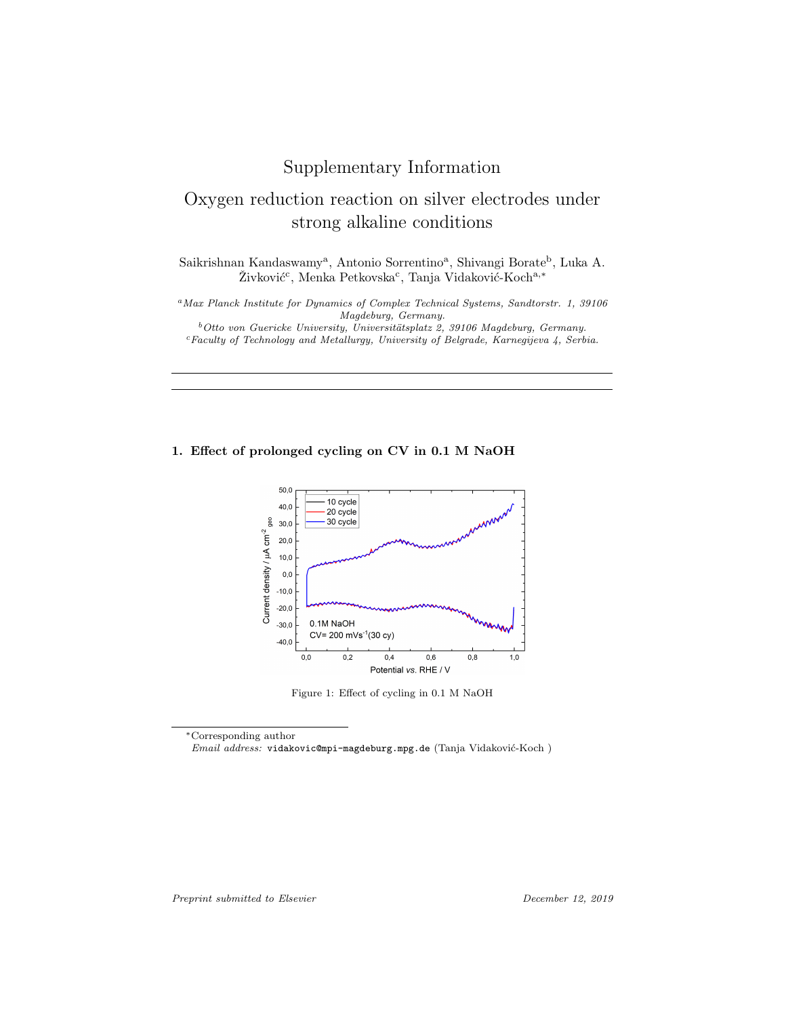## Supplementary Information

# Oxygen reduction reaction on silver electrodes under strong alkaline conditions

Saikrishnan Kandaswamy<sup>a</sup>, Antonio Sorrentino<sup>a</sup>, Shivangi Borate<sup>b</sup>, Luka A. Živković<sup>c</sup>, Menka Petkovska<sup>c</sup>, Tanja Vidaković-Koch<sup>a,\*</sup>

<sup>a</sup>Max Planck Institute for Dynamics of Complex Technical Systems, Sandtorstr. 1, 39106 Magdeburg, Germany.

 $b$ Otto von Guericke University, Universitätsplatz 2, 39106 Magdeburg, Germany. <sup>c</sup>Faculty of Technology and Metallurgy, University of Belgrade, Karnegijeva 4, Serbia.

#### 1. Effect of prolonged cycling on CV in 0.1 M NaOH



Figure 1: Effect of cycling in 0.1 M NaOH

<sup>∗</sup>Corresponding author

 $Email$   $address:$  vidakovic@mpi-magdeburg.mpg.de (Tanja Vidaković-Koch)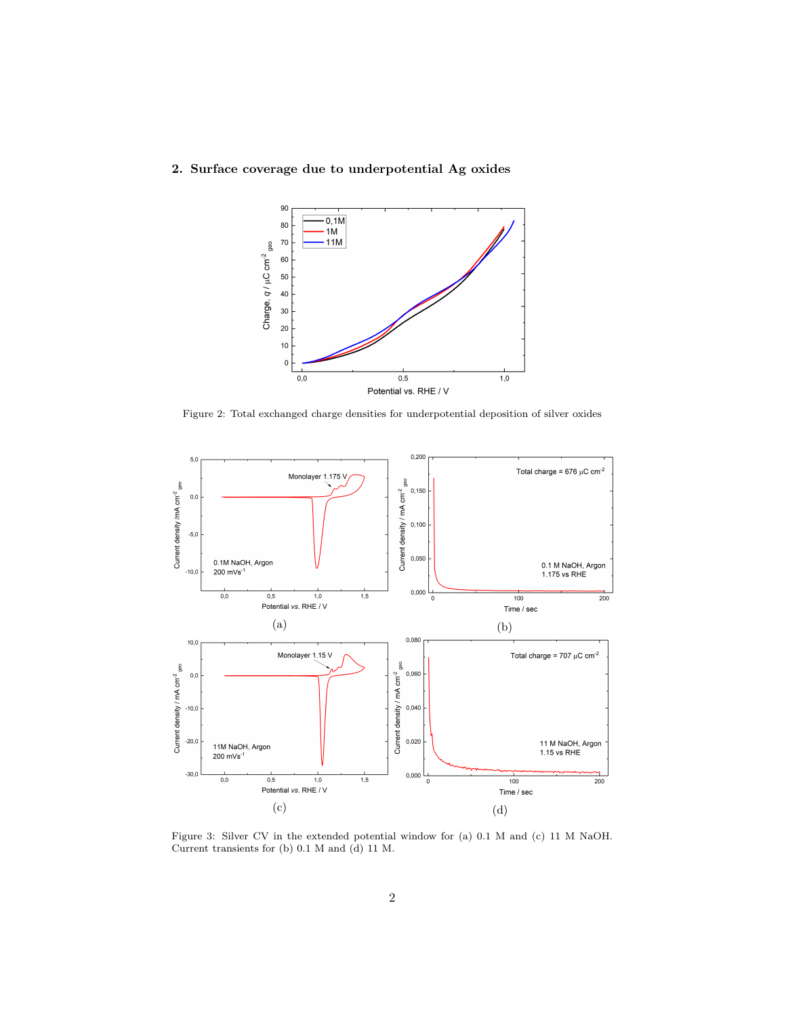#### 2. Surface coverage due to underpotential Ag oxides



Figure 2: Total exchanged charge densities for underpotential deposition of silver oxides



Figure 3: Silver CV in the extended potential window for (a) 0.1 M and (c) 11 M NaOH. Current transients for (b) 0.1 M and (d) 11 M.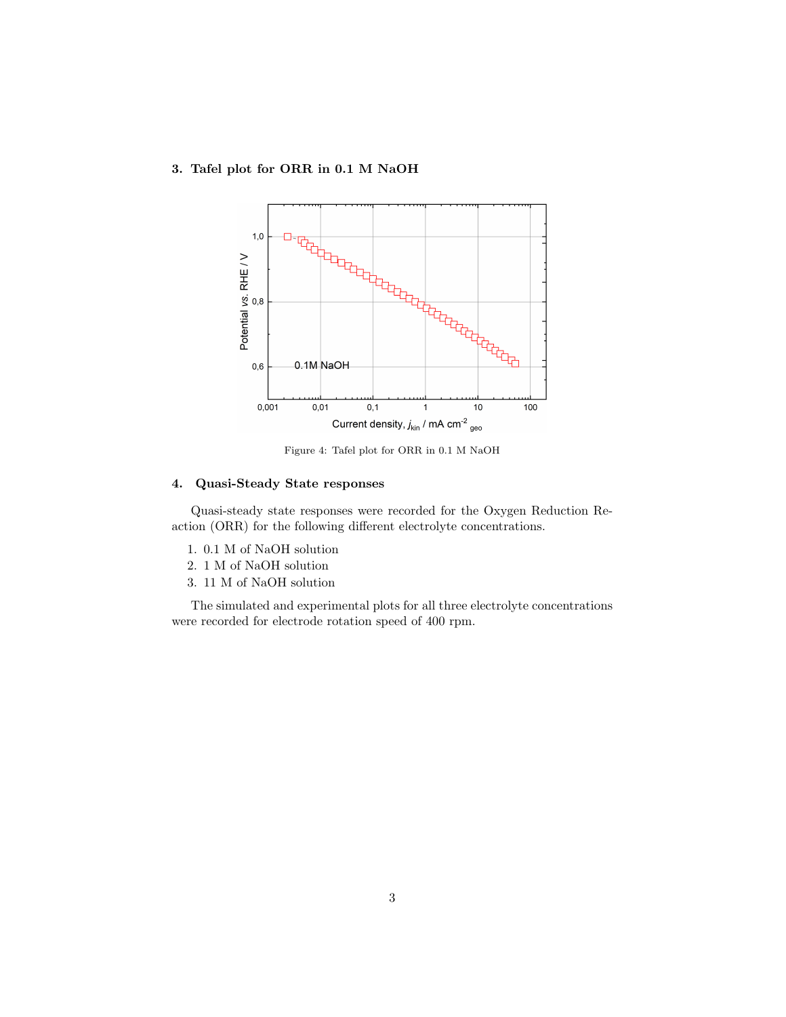#### 3. Tafel plot for ORR in 0.1 M NaOH



Figure 4: Tafel plot for ORR in 0.1 M NaOH

### 4. Quasi-Steady State responses

Quasi-steady state responses were recorded for the Oxygen Reduction Reaction (ORR) for the following different electrolyte concentrations.

- 1. 0.1 M of NaOH solution
- 2. 1 M of NaOH solution
- 3. 11 M of NaOH solution

The simulated and experimental plots for all three electrolyte concentrations were recorded for electrode rotation speed of 400 rpm.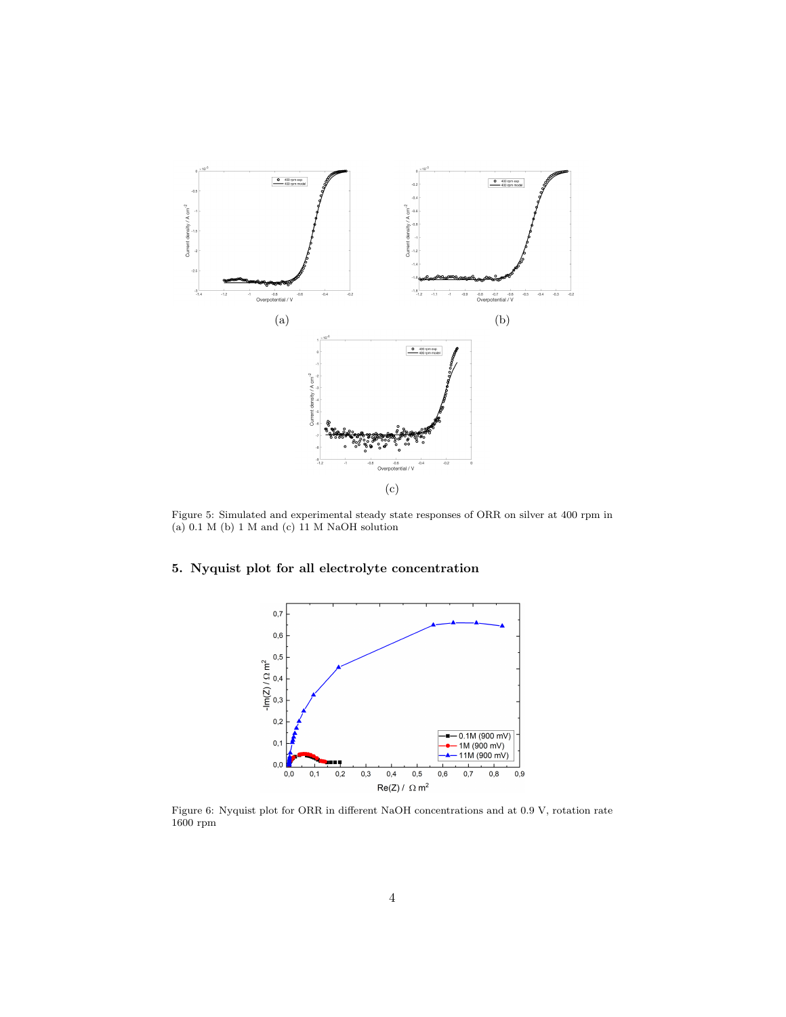

Figure 5: Simulated and experimental steady state responses of ORR on silver at 400 rpm in (a) 0.1 M (b) 1 M and (c) 11 M NaOH solution

#### 5. Nyquist plot for all electrolyte concentration



Figure 6: Nyquist plot for ORR in different NaOH concentrations and at 0.9 V, rotation rate  $1600~\mathrm{rpm}$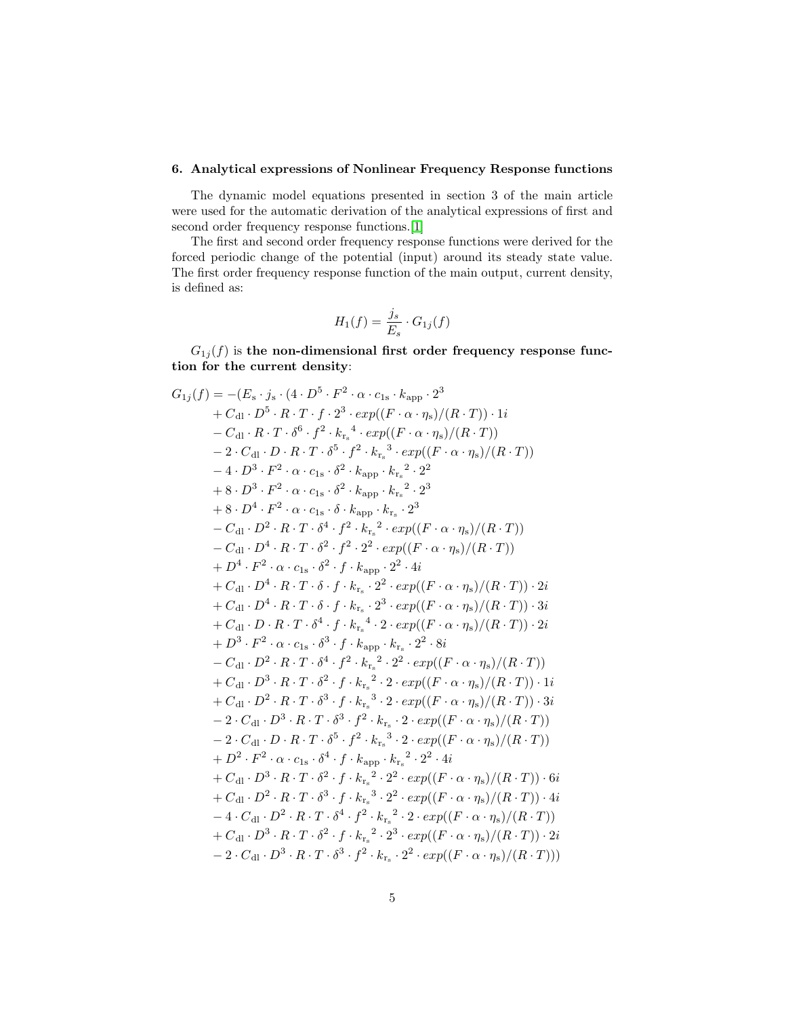#### 6. Analytical expressions of Nonlinear Frequency Response functions

The dynamic model equations presented in section 3 of the main article were used for the automatic derivation of the analytical expressions of first and second order frequency response functions.[\[1\]](#page-29-0)

The first and second order frequency response functions were derived for the forced periodic change of the potential (input) around its steady state value. The first order frequency response function of the main output, current density, is defined as:

$$
H_1(f) = \frac{j_s}{E_s} \cdot G_{1j}(f)
$$

 $G_{1j}(f)$  is the non-dimensional first order frequency response function for the current density:

$$
G_{1j}(f) = -(E_{s} \cdot j_{s} \cdot (4 \cdot D^{5} \cdot F^{2} \cdot \alpha \cdot c_{1s} \cdot k_{app} \cdot 2^{3} + C_{dl} \cdot D^{5} \cdot R \cdot T \cdot f \cdot 2^{3} \cdot exp((F \cdot \alpha \cdot \eta_{s})/(R \cdot T)) \cdot 1i - C_{dl} \cdot R \cdot T \cdot \delta^{6} \cdot f^{2} \cdot k_{r_{s}}^{4} \cdot exp((F \cdot \alpha \cdot \eta_{s})/(R \cdot T)) - 2 \cdot C_{dl} \cdot D \cdot R \cdot T \cdot \delta^{5} \cdot f^{2} \cdot k_{r_{s}}^{3} \cdot exp((F \cdot \alpha \cdot \eta_{s})/(R \cdot T)) - 4 \cdot D^{3} \cdot F^{2} \cdot \alpha \cdot c_{1s} \cdot \delta^{2} \cdot k_{app} \cdot k_{r_{s}}^{2} \cdot 2^{2} + 8 \cdot D^{3} \cdot F^{2} \cdot \alpha \cdot c_{1s} \cdot \delta^{2} \cdot k_{app} \cdot k_{r_{s}}^{2} \cdot 2^{3} + 8 \cdot D^{4} \cdot F^{2} \cdot \alpha \cdot c_{1s} \cdot \delta^{2} \cdot k_{app} \cdot k_{r_{s}}^{2} \cdot 2^{3} - C_{dl} \cdot D^{2} \cdot R \cdot T \cdot \delta^{4} \cdot f^{2} \cdot k_{r_{s}}^{3} \cdot exp((F \cdot \alpha \cdot \eta_{s})/(R \cdot T)) - C_{dl} \cdot D^{4} \cdot R \cdot T \cdot \delta^{2} \cdot f^{2} \cdot 2^{2} \cdot exp((F \cdot \alpha \cdot \eta_{s})/(R \cdot T)) + D^{4} \cdot F^{2} \cdot \alpha \cdot c_{1s} \cdot \delta^{2} \cdot f \cdot k_{app} \cdot 2^{2} \cdot 4i + C_{dl} \cdot D^{4} \cdot R \cdot T \cdot \delta \cdot f \cdot k_{r_{s}} \cdot 2^{2} \cdot exp((F \cdot \alpha \cdot \eta_{s})/(R \cdot T)) \cdot 2i + C_{dl} \cdot D^{4} \cdot R \cdot T \cdot \delta \cdot f \cdot k_{r_{s}} \cdot 2^{2} \cdot exp((F \cdot \alpha \cdot \eta_{s})/(R \cdot T)) \cdot 2i + C_{dl} \cdot D^{4} \cdot R \cdot T \cdot \delta \cdot f \cdot
$$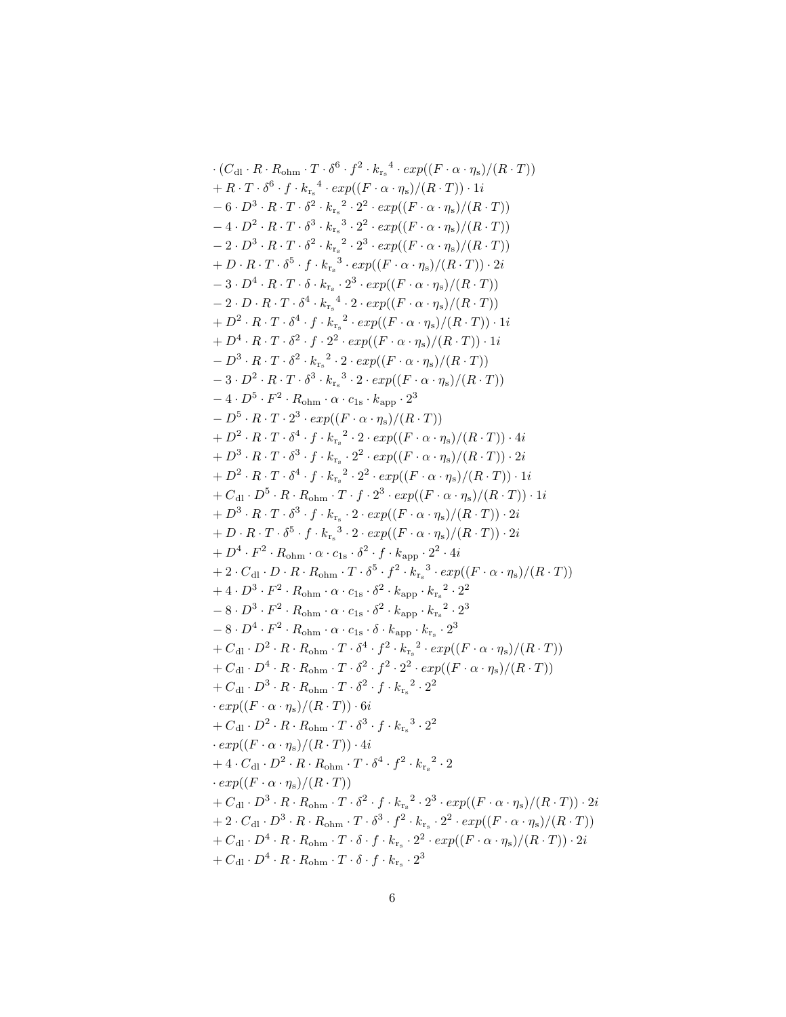·
$$
(C_{d1} \cdot R \cdot R_{ohm} \cdot T \cdot \delta^{6} \cdot f^{2} \cdot k_{r_{n}}^{4} \cdot exp((F \cdot \alpha \cdot \eta_{s})/(R \cdot T))
$$
+
$$
R \cdot T \cdot \delta^{6} \cdot f \cdot k_{r_{n}}^{4} \cdot exp((F \cdot \alpha \cdot \eta_{s})/(R \cdot T)) \cdot 1i
$$
-6 · D<sup>3</sup> · R · T · δ<sup>2</sup> · k\_{r\_{n}}^{2} · 2<sup>2</sup> · exp((F · α · \eta\_{s})/(R · T))-4 · D<sup>2</sup> · R · T · δ<sup>3</sup> · k\_{r\_{n}}^{3} · 2<sup>2</sup> · exp((F · α · \eta\_{s})/(R · T))+D · R · T · δ<sup>5</sup> · f · k\_{r\_{n}}^{3} · 2<sup>2</sup> · exp((F · α · \eta\_{s})/(R · T))+D · R · T · δ<sup>5</sup> · f · k\_{r\_{n}}^{3} · exp((F · α · \eta\_{s})/(R · T))  
+D · R · T · δ<sup>4</sup> · k\_{r\_{n}}^{4} · 2 · exp((F · α · \eta\_{s})/(R · T))  
-2 · D · R · T · δ<sup>4</sup> · k\_{r\_{n}}^{4} · 2 · exp((F · α · \eta\_{s})/(R · T))+
$$
D^{2} · R · T · δ4 · k_{r_{n}}^{4} · 2 · exp((F · α · \eta_{s})/(R · T))
$$
+D<sup>2</sup> · R · T · δ<sup>2</sup> · f · 2<sup>2</sup> · exp((F · α · \eta\_{s})/(R · T))  
-3 · D<sup>2</sup> · R · T · δ<sup>3</sup> · k\_{r\_{n}}^{2} · 2 · exp((F · α · \eta\_{s})/(R · T))-1  
-3 · D<sup>2</sup> · R · T · δ<sup>3</sup> · k\_{r\_{n}}^{2} · 2 · exp((F · α · \eta\_{s})/(R · T))  
-4 · D<sup>3</sup> · R · T · δ<sup>3</sup> · k\_{r\_{n}}^{2} · 2 · exp((F · α · \eta\_{s})/(R · T))  
+1 D<sup>3</sup> · R · T · δ<sup>3</sup> · f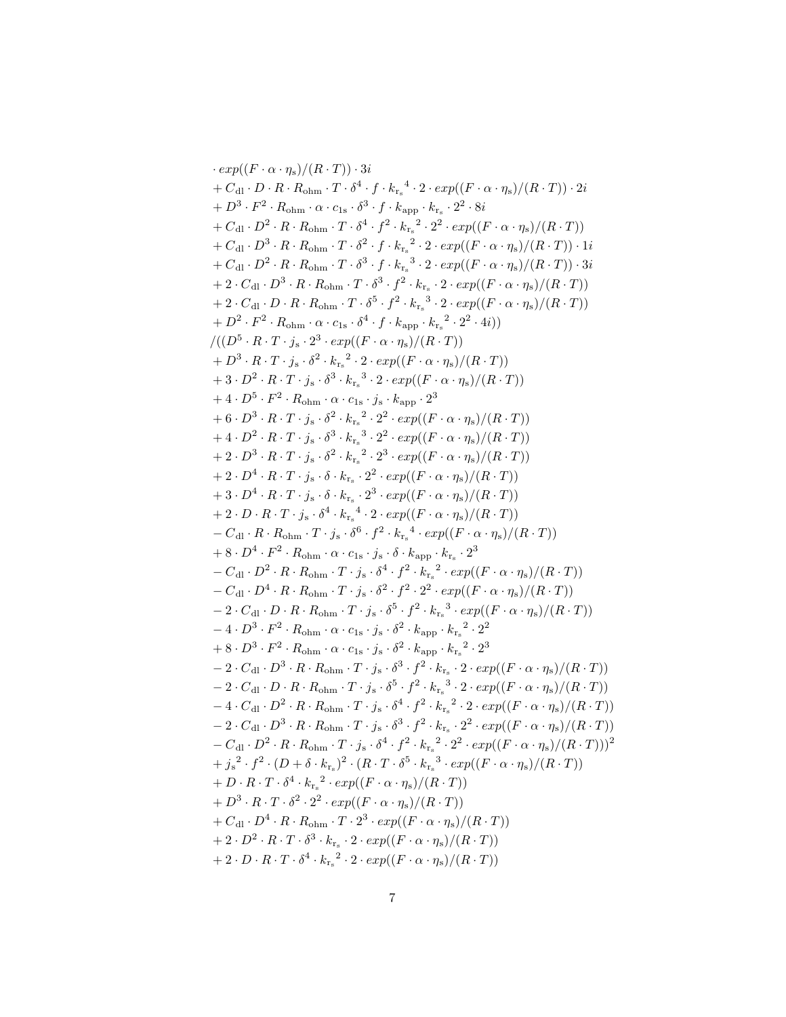$\cdot exp((F \cdot \alpha \cdot \eta_s)/(R \cdot T)) \cdot 3i$  $+ C_{\text{dl}} \cdot D \cdot R \cdot R_{\text{ohm}} \cdot T \cdot \delta^4 \cdot f \cdot {k_{r_s}}^4 \cdot 2 \cdot exp((F \cdot \alpha \cdot \eta_s)/(R \cdot T)) \cdot 2i$  $+ D^3 \cdot F^2 \cdot R_{\text{ohm}} \cdot \alpha \cdot c_{1s} \cdot \delta^3 \cdot f \cdot k_{\text{app}} \cdot k_{r_s} \cdot 2^2 \cdot 8i$  $+ C_{\rm dl} \cdot D^2 \cdot R \cdot R_{\rm ohm} \cdot T \cdot \delta^4 \cdot f^2 \cdot {k_{\rm r_s}}^2 \cdot 2^2 \cdot exp((F \cdot \alpha \cdot \eta_{\rm s})/(R \cdot T))$  $+ C_{\text{dl}} \cdot D^3 \cdot R \cdot R_{\text{ohm}} \cdot T \cdot \delta^2 \cdot f \cdot k_{r_s}^2 \cdot 2 \cdot exp((F \cdot \alpha \cdot \eta_s)/(R \cdot T)) \cdot 1i$  $+ C_{\text{dl}} \cdot D^2 \cdot R \cdot R_{\text{ohm}} \cdot T \cdot \delta^3 \cdot f \cdot k_{r_s}^3 \cdot 2 \cdot exp((F \cdot \alpha \cdot \eta_s)/(R \cdot T)) \cdot 3i$  $+ \, 2 \cdot C_{\text{dl}} \cdot D^3 \cdot R \cdot R_{\text{ohm}} \cdot T \cdot \delta^3 \cdot f^2 \cdot k_{\text{r}_s} \cdot 2 \cdot \exp((F \cdot \alpha \cdot \eta_{\text{s}})/(R \cdot T))$  $+ 2 \cdot C_{\text{dl}} \cdot D \cdot R \cdot R_{\text{ohm}} \cdot T \cdot \delta^5 \cdot f^2 \cdot k_{r_s}^3 \cdot 2 \cdot exp((F \cdot \alpha \cdot \eta_s)/(R \cdot T))$  $+ D^2 \cdot F^2 \cdot R_{\text{ohm}} \cdot \alpha \cdot c_{1s} \cdot \delta^4 \cdot f \cdot k_{\text{app}} \cdot {k_{r_s}}^2 \cdot 2^2 \cdot 4i)$  $/((D^5 \cdot R \cdot T \cdot j_s \cdot 2^3 \cdot exp((F \cdot \alpha \cdot \eta_s)/(R \cdot T)))$  $+ D^3 \cdot R \cdot T \cdot j_s \cdot \delta^2 \cdot k_{r_s}^2 \cdot 2 \cdot exp((F \cdot \alpha \cdot \eta_s)/(R \cdot T))$  $+ 3 \cdot D^2 \cdot R \cdot T \cdot j_s \cdot \delta^3 \cdot k_{r_s}^3 \cdot 2 \cdot exp((F \cdot \alpha \cdot \eta_s)/(R \cdot T))$  $+ 4 \cdot D^5 \cdot F^2 \cdot R_{\text{ohm}} \cdot \alpha \cdot c_{1s} \cdot j_s \cdot k_{\text{app}} \cdot 2^3$  $+ 6 \cdot D^3 \cdot R \cdot T \cdot j_s \cdot \delta^2 \cdot k_{r_s}^2 \cdot 2^2 \cdot exp((F \cdot \alpha \cdot \eta_s)/(R \cdot T))$  $+ 4 \cdot D^2 \cdot R \cdot T \cdot j_s \cdot \delta^3 \cdot k_{r_s}^3 \cdot 2^2 \cdot exp((F \cdot \alpha \cdot \eta_s)/(R \cdot T))$  $+ 2 \cdot D^3 \cdot R \cdot T \cdot j_s \cdot \delta^2 \cdot k_{r_s}^2 \cdot 2^3 \cdot exp((F \cdot \alpha \cdot \eta_s)/(R \cdot T))$  $+ 2 \cdot D^4 \cdot R \cdot T \cdot j_s \cdot \delta \cdot k_{r_s} \cdot 2^2 \cdot exp((F \cdot \alpha \cdot \eta_s)/(R \cdot T))$  $+ 3 \cdot D^4 \cdot R \cdot T \cdot j_s \cdot \delta \cdot k_{r_s} \cdot 2^3 \cdot exp((F \cdot \alpha \cdot \eta_s)/(R \cdot T))$  $+ 2 \cdot D \cdot R \cdot T \cdot j_{s} \cdot \delta^{4} \cdot k_{r_{s}}^{4} \cdot 2 \cdot exp((F \cdot \alpha \cdot \eta_{s})/(R \cdot T))$  $-C_{\text{dl}} \cdot R \cdot R_{\text{ohm}} \cdot T \cdot j_{\text{s}} \cdot \delta^6 \cdot f^2 \cdot {k_{\text{r}_\text{s}}}^4 \cdot \exp((F \cdot \alpha \cdot \eta_{\text{s}})/(R \cdot T))$  $+ 8 \cdot D^4 \cdot F^2 \cdot R_{\text{ohm}} \cdot \alpha \cdot c_{1s} \cdot j_s \cdot \delta \cdot k_{\text{app}} \cdot k_{r_s} \cdot 2^3$  $-C_{\text{dl}} \cdot D^2 \cdot R \cdot R_{\text{ohm}} \cdot T \cdot j_{\text{s}} \cdot \delta^4 \cdot f^2 \cdot k_{r_{\text{s}}}^2 \cdot exp((F \cdot \alpha \cdot \eta_{\text{s}})/(R \cdot T))$  $-C_{\text{dl}} \cdot D^4 \cdot R \cdot R_{\text{ohm}} \cdot T \cdot j_{\text{s}} \cdot \delta^2 \cdot f^2 \cdot 2^2 \cdot exp((F \cdot \alpha \cdot \eta_{\text{s}})/(R \cdot T))$  $-2 \cdot C_{\text{dl}} \cdot D \cdot R \cdot R_{\text{ohm}} \cdot T \cdot j_{\text{s}} \cdot \delta^5 \cdot f^2 \cdot k_{\text{r}_\text{s}}^3 \cdot \exp((F \cdot \alpha \cdot \eta_{\text{s}})/(R \cdot T))$  $-4 \cdot D^3 \cdot F^2 \cdot R_{\text{ohm}} \cdot \alpha \cdot c_{1s} \cdot j_s \cdot \delta^2 \cdot k_{\text{app}} \cdot {k_{\text{r}_s}}^2 \cdot 2^2$  $+ 8 \cdot D^3 \cdot F^2 \cdot R_{\text{ohm}} \cdot \alpha \cdot c_{1s} \cdot j_s \cdot \delta^2 \cdot k_{\text{app}} \cdot {k_{\text{r}_s}}^2 \cdot 2^3$  $- \, 2 \cdot C_{\rm dl} \cdot D^3 \cdot R \cdot R_{\rm ohm} \cdot T \cdot j_{\rm s} \cdot \delta^3 \cdot f^2 \cdot k_{\rm r_{\rm s}} \cdot 2 \cdot \exp((F \cdot \alpha \cdot \eta_{\rm s})/(R \cdot T))$  $-2\cdot C_{\text{dl}}\cdot D\cdot R\cdot R_{\text{ohm}}\cdot T\cdot j_{\text{s}}\cdot \delta^5\cdot f^2\cdot {k_{\text{r}_\text{s}}}^3\cdot 2\cdot exp((F\cdot \alpha\cdot \eta_{\text{s}})/(R\cdot T))$  $-4 \cdot C_{\text{dl}} \cdot D^2 \cdot R \cdot R_{\text{ohm}} \cdot T \cdot j_{\text{s}} \cdot \delta^4 \cdot f^2 \cdot {k_{\text{r}_\text{s}}}^2 \cdot 2 \cdot exp((F \cdot \alpha \cdot \eta_{\text{s}})/(R \cdot T))$  $-2 \cdot C_{\text{dl}} \cdot D^3 \cdot R \cdot R_{\text{ohm}} \cdot T \cdot j_{\text{s}} \cdot \delta^3 \cdot f^2 \cdot k_{r_{\text{s}}} \cdot 2^2 \cdot exp((F \cdot \alpha \cdot \eta_{\text{s}})/(R \cdot T))$  $-C_{\text{dl}} \cdot D^2 \cdot R \cdot R_{\text{ohm}} \cdot T \cdot j_{\text{s}} \cdot \delta^4 \cdot f^2 \cdot k_{r_{\text{s}}}^2 \cdot 2^2 \cdot exp((F \cdot \alpha \cdot \eta_{\text{s}})/(R \cdot T)))^2$  $+ j_s^2 \cdot f^2 \cdot (D + \delta \cdot k_{r_s})^2 \cdot (R \cdot T \cdot \delta^5 \cdot k_{r_s}^3 \cdot exp((F \cdot \alpha \cdot \eta_s)/(R \cdot T))$  $+ D \cdot R \cdot T \cdot \delta^4 \cdot k_{r_s}^2 \cdot exp((F \cdot \alpha \cdot \eta_s)/(R \cdot T))$  $+ D^3 \cdot R \cdot T \cdot \delta^2 \cdot 2^2 \cdot exp((F \cdot \alpha \cdot \eta_s)/(R \cdot T))$  $+ C_{\rm dl} \cdot D^4 \cdot R \cdot R_{\rm ohm} \cdot T \cdot 2^3 \cdot exp((F \cdot \alpha \cdot \eta_{\rm s})/(R \cdot T))$  $+ 2 \cdot D^2 \cdot R \cdot T \cdot \delta^3 \cdot k_{r_s} \cdot 2 \cdot exp((F \cdot \alpha \cdot \eta_s)/(R \cdot T))$  $+ 2 \cdot D \cdot R \cdot T \cdot \delta^4 \cdot k_{r_s}^2 \cdot 2 \cdot exp((F \cdot \alpha \cdot \eta_s)/(R \cdot T))$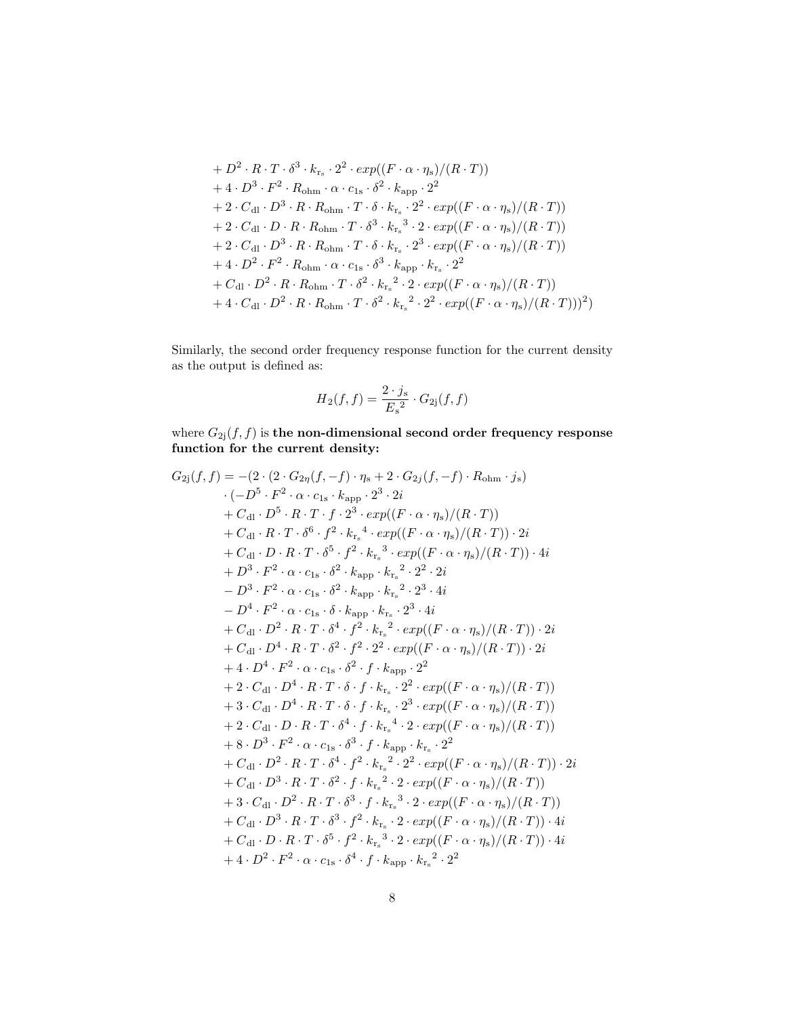+ 
$$
D^2 \cdot R \cdot T \cdot \delta^3 \cdot k_{r_s} \cdot 2^2 \cdot exp((F \cdot \alpha \cdot \eta_s)/(R \cdot T))
$$
  
+  $4 \cdot D^3 \cdot F^2 \cdot R_{\text{ohm}} \cdot \alpha \cdot c_{1s} \cdot \delta^2 \cdot k_{\text{app}} \cdot 2^2$   
+  $2 \cdot C_{\text{dl}} \cdot D^3 \cdot R \cdot R_{\text{ohm}} \cdot T \cdot \delta \cdot k_{r_s} \cdot 2^2 \cdot exp((F \cdot \alpha \cdot \eta_s)/(R \cdot T))$   
+  $2 \cdot C_{\text{dl}} \cdot D \cdot R \cdot R_{\text{ohm}} \cdot T \cdot \delta^3 \cdot k_{r_s}^3 \cdot 2 \cdot exp((F \cdot \alpha \cdot \eta_s)/(R \cdot T))$   
+  $2 \cdot C_{\text{dl}} \cdot D^3 \cdot R \cdot R_{\text{ohm}} \cdot T \cdot \delta \cdot k_{r_s} \cdot 2^3 \cdot exp((F \cdot \alpha \cdot \eta_s)/(R \cdot T))$   
+  $4 \cdot D^2 \cdot F^2 \cdot R_{\text{ohm}} \cdot \alpha \cdot c_{1s} \cdot \delta^3 \cdot k_{\text{app}} \cdot k_{r_s} \cdot 2^2$   
+  $C_{\text{dl}} \cdot D^2 \cdot R \cdot R_{\text{ohm}} \cdot T \cdot \delta^2 \cdot k_{r_s}^2 \cdot 2 \cdot exp((F \cdot \alpha \cdot \eta_s)/(R \cdot T))$   
+  $4 \cdot C_{\text{dl}} \cdot D^2 \cdot R \cdot R_{\text{ohm}} \cdot T \cdot \delta^2 \cdot k_{r_s}^2 \cdot 2^2 \cdot exp((F \cdot \alpha \cdot \eta_s)/(R \cdot T)))^2)$ 

Similarly, the second order frequency response function for the current density as the output is defined as:

$$
H_2(f, f) = \frac{2 \cdot j_s}{E_s^2} \cdot G_{2j}(f, f)
$$

where  $G_{2j}(f,f)$  is the non-dimensional second order frequency response function for the current density:

$$
G_{2j}(f, f) = -(2 \cdot (2 \cdot G_{2\eta}(f, -f) \cdot \eta_{s} + 2 \cdot G_{2j}(f, -f) \cdot R_{\text{ohm}} \cdot j_{s})
$$
  
\n
$$
(-D^{5} \cdot F^{2} \cdot \alpha \cdot c_{1s} \cdot k_{\text{app}} \cdot 2^{3} \cdot 2i
$$
  
\n
$$
+ C_{\text{dl}} \cdot D^{5} \cdot R \cdot T \cdot f \cdot 2^{3} \cdot \exp((F \cdot \alpha \cdot \eta_{s})/(R \cdot T))
$$
  
\n
$$
+ C_{\text{dl}} \cdot D \cdot R \cdot T \cdot \delta^{6} \cdot f^{2} \cdot k_{r_{s}}^{4} \cdot \exp((F \cdot \alpha \cdot \eta_{s})/(R \cdot T)) \cdot 2i
$$
  
\n
$$
+ C_{\text{dl}} \cdot D \cdot R \cdot T \cdot \delta^{5} \cdot f^{2} \cdot k_{r_{s}}^{3} \cdot \exp((F \cdot \alpha \cdot \eta_{s})/(R \cdot T)) \cdot 4i
$$
  
\n
$$
+ D^{3} \cdot F^{2} \cdot \alpha \cdot c_{1s} \cdot \delta^{2} \cdot k_{\text{app}} \cdot k_{r_{s}}^{2} \cdot 2^{2} \cdot 2i
$$
  
\n
$$
- D^{3} \cdot F^{2} \cdot \alpha \cdot c_{1s} \cdot \delta^{2} \cdot k_{\text{app}} \cdot k_{r_{s}}^{2} \cdot 2^{3} \cdot 4i
$$
  
\n
$$
+ C_{\text{dl}} \cdot D^{2} \cdot R \cdot T \cdot \delta^{4} \cdot f^{2} \cdot k_{r_{s}}^{2} \cdot \exp((F \cdot \alpha \cdot \eta_{s})/(R \cdot T)) \cdot 2i
$$
  
\n
$$
+ C_{\text{dl}} \cdot D^{4} \cdot R \cdot T \cdot \delta^{2} \cdot f^{2} \cdot 2^{2} \cdot \exp((F \cdot \alpha \cdot \eta_{s})/(R \cdot T)) \cdot 2i
$$
  
\n
$$
+ 4 \cdot D^{4} \cdot F^{2} \cdot \alpha \cdot c_{1s} \cdot \delta^{2} \cdot f \cdot k_{\text{app}} \cdot 2^{2}
$$
  
\n
$$
+ 2 \cdot C_{\text{dl}} \cdot D^{4} \cdot R \cdot T \
$$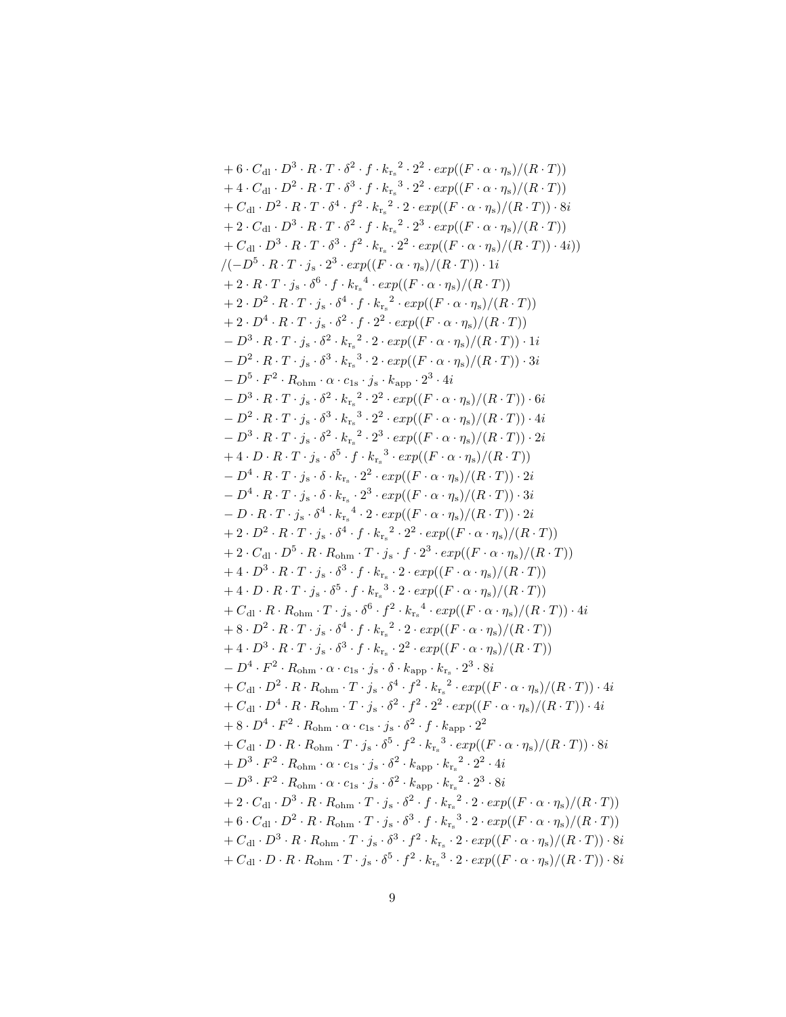+ 6 · C<sub>d</sub> · 
$$
D^3 \cdot R \cdot T \cdot \delta^2 \cdot f \cdot k_{r_s}^2 \cdot 2^2 \cdot exp((F \cdot \alpha \cdot \eta_s)/(R \cdot T))
$$
  
+ 4 · C<sub>d</sub> ·  $D^2 \cdot R \cdot T \cdot \delta^3 \cdot f \cdot k_{r_s}^3 \cdot 2^2 \cdot exp((F \cdot \alpha \cdot \eta_s)/(R \cdot T))$   
+ C<sub>d</sub> ·  $D^3 \cdot R \cdot T \cdot \delta^4 \cdot f^2 \cdot k_{r_s}^2 \cdot 2^2 \cdot exp((F \cdot \alpha \cdot \eta_s)/(R \cdot T)) \cdot 8i$   
+ 2 · C<sub>d</sub> ·  $D^3 \cdot R \cdot T \cdot \delta^2 \cdot f \cdot k_{r_s}^2 \cdot 2^3 \cdot exp((F \cdot \alpha \cdot \eta_s)/(R \cdot T))$   
+ C<sub>d</sub> ·  $D^3 \cdot R \cdot T \cdot \delta^2 \cdot f^2 \cdot k_{r_s}^2 \cdot 2^2 \cdot exp((F \cdot \alpha \cdot \eta_s)/(R \cdot T)) \cdot 4i)$   
+ C<sub>d</sub> ·  $D^3 \cdot R \cdot T \cdot \delta^3 \cdot f^2 \cdot k_{r_s}^2 \cdot 2^2 \cdot exp((F \cdot \alpha \cdot \eta_s)/(R \cdot T)) \cdot 4i)$   
+ 2 · R · T · j<sub>s</sub> ·  $\delta^6 \cdot f \cdot k_{r_s}^4 \cdot exp((F \cdot \alpha \cdot \eta_s)/(R \cdot T))$   
+ 2 · D<sup>4</sup> · R · T · j<sub>s</sub> ·  $\delta^2 \cdot f^2 \cdot 2^2 \cdot exp((F \cdot \alpha \cdot \eta_s)/(R \cdot T))$   
+ 2 · D<sup>4</sup> · R · T · j<sub>s</sub> ·  $\delta^2 \cdot f^2 \cdot 2^2 \cdot exp((F \cdot \alpha \cdot \eta_s)/(R \cdot T))$   
+ 2 · D<sup>4</sup> · R · T · j<sub>s</sub> ·  $\delta^3 \cdot k_{r_s}^3 \cdot 2 \cdot exp((F \cdot \alpha \cdot \eta_s)/(R \cdot T)) \cdot 1i$   
- D<sup>3</sup> · R · T · j<sub>s</sub> ·  $\delta^3 \cdot k_{r_s}^3 \cdot 2 \cdot exp((F \cdot \alpha \cdot \eta_s)/(R \cdot T)) \cdot$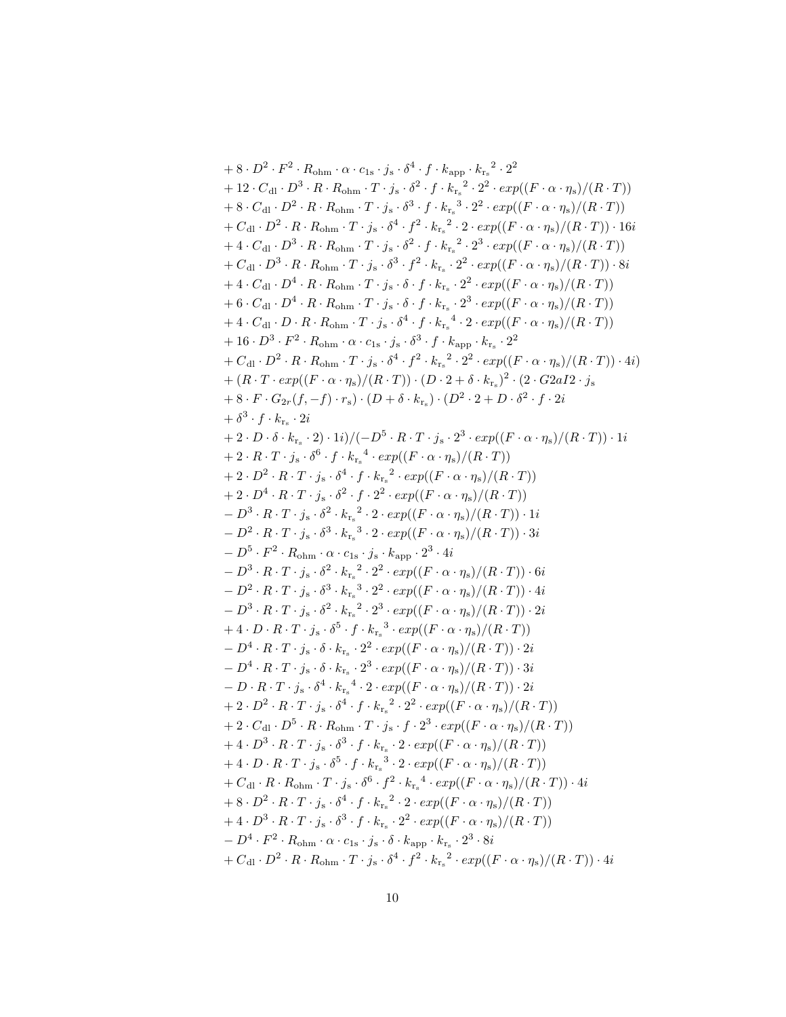+8. 
$$
D^2 \cdot F^2 \cdot R_{\text{chm}} \cdot \alpha \cdot c_{1s} \cdot j_s \cdot \delta^4 \cdot f \cdot k_{\text{app}} \cdot k_{r_s}^2 \cdot 2^2
$$
+12. 
$$
C_{\text{d1}} \cdot D^3 \cdot R \cdot R_{\text{chm}} \cdot T \cdot j_s \cdot \delta^2 \cdot f \cdot k_{r_s}^2 \cdot 2^2 \cdot \exp((F \cdot \alpha \cdot \eta_s)/(R \cdot T)) + 8 \cdot C_{\text{d1}} \cdot D^2 \cdot R \cdot R_{\text{chm}} \cdot T \cdot j_s \cdot \delta^4 \cdot f^2 \cdot k_{r_s}^2 \cdot 2^2 \cdot \exp((F \cdot \alpha \cdot \eta_s)/(R \cdot T))
$$
+
$$
C_{\text{d1}} \cdot D^3 \cdot R \cdot R_{\text{chm}} \cdot T \cdot j_s \cdot \delta^4 \cdot f^2 \cdot k_{r_s}^2 \cdot 2^3 \cdot \exp((F \cdot \alpha \cdot \eta_s)/(R \cdot T))
$$
+
$$
C_{\text{d1}} \cdot D^3 \cdot R \cdot R_{\text{chm}} \cdot T \cdot j_s \cdot \delta^3 \cdot f^2 \cdot k_{r_s}^2 \cdot 2^3 \cdot \exp((F \cdot \alpha \cdot \eta_s)/(R \cdot T))
$$
+
$$
C_{\text{d1}} \cdot D^4 \cdot R \cdot R_{\text{chm}} \cdot T \cdot j_s \cdot \delta^3 \cdot f^2 \cdot k_{r_s}^2 \cdot 2^2 \cdot \exp((F \cdot \alpha \cdot \eta_s)/(R \cdot T))
$$
+
$$
4 \cdot C_{\text{d1}} \cdot D^4 \cdot R \cdot R_{\text{chm}} \cdot T \cdot j_s \cdot \delta^4 \cdot f \cdot k_{r_s}^2 \cdot 2^2 \cdot \exp((F \cdot \alpha \cdot \eta_s)/(R \cdot T))
$$
+
$$
4 \cdot C_{\text{d1}} \cdot D \cdot R \cdot R_{\text{chm}} \cdot T \cdot j_s \cdot \delta^4 \cdot f \cdot k_{r_s}^2 \cdot 2^2 \cdot \exp((F \cdot \alpha \cdot \eta_s)/(R \cdot T))
$$
+
$$
4 \cdot C_{\text{d1}} \cdot D \cdot R \cdot R_{\text{chm}} \cdot T \cdot j_s \cdot \delta^4 \cdot f \cdot k_{r_s}^2 \cdot 2^2 \cdot \
$$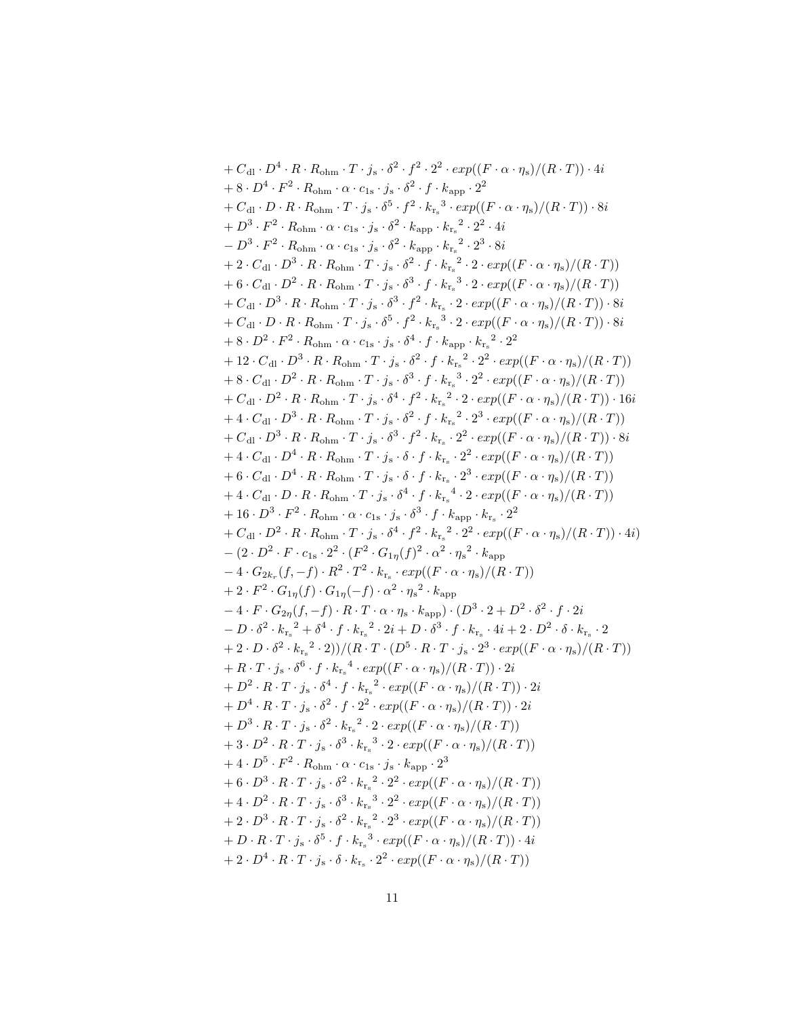+ 
$$
C_{d1} \cdot D^{4} \cdot R \cdot R_{ohm} \cdot T \cdot j_{s} \cdot \delta^{2} \cdot f^{2} \cdot 2^{2} \cdot exp((F \cdot \alpha \cdot \eta_{s})/(R \cdot T)) \cdot 4i
$$
  
+ 8  $\cdot D^{4} \cdot F^{2} \cdot R_{ohm} \cdot \alpha \cdot c_{1s} \cdot j_{s} \cdot \delta^{2} \cdot f \cdot k_{app} \cdot 2^{2}$   
+  $C_{d1} \cdot D \cdot R \cdot R_{ohm} \cdot T \cdot j_{s} \cdot \delta^{5} \cdot f^{2} \cdot k_{rs}^{3} \cdot exp((F \cdot \alpha \cdot \eta_{s})/(R \cdot T)) \cdot 8i$   
+  $D^{3} \cdot F^{2} \cdot R_{ohm} \cdot \alpha \cdot c_{1s} \cdot j_{s} \cdot \delta^{2} \cdot k_{app} \cdot k_{rs}^{2} \cdot 2^{2} \cdot 4i$   
+  $2 \cdot C_{d1} \cdot D^{3} \cdot R \cdot R_{ohm} \cdot T \cdot j_{s} \cdot \delta^{2} \cdot f \cdot k_{rs}^{2} \cdot 2 \cdot 2^{2} \cdot 4i$   
+  $2 \cdot C_{d1} \cdot D^{3} \cdot R \cdot R_{ohm} \cdot T \cdot j_{s} \cdot \delta^{2} \cdot f \cdot k_{rs}^{2} \cdot 2^{2} \cdot 2^{2} \cdot 2i$   
+  $2 \cdot C_{d1} \cdot D^{2} \cdot R \cdot R_{ohm} \cdot T \cdot j_{s} \cdot \delta^{3} \cdot f \cdot k_{rs}^{2} \cdot 2 \cdot exp((F \cdot \alpha \cdot \eta_{s})/(R \cdot T))$   
+  $C_{d1} \cdot D^{3} \cdot R \cdot R_{ohm} \cdot T \cdot j_{s} \cdot \delta^{3} \cdot f^{2} \cdot k_{rs}^{3} \cdot 2 \cdot exp((F \cdot \alpha \cdot \eta_{s})/(R \cdot T)) \cdot 8i$   
+  $C_{d1} \cdot D \cdot R \cdot R_{ohm} \cdot T \cdot j_{s} \cdot \delta^{3} \cdot f^{2} \cdot k_{rs}^{3} \cdot 2 \cdot exp((F \cdot \alpha \cdot \eta_{s})/(R \cdot T))$   
+  $C_{d1} \cdot D^{3} \cdot R \cdot R_{ohm} \cdot T \cdot j_{s} \cdot \delta^{2} \cdot f$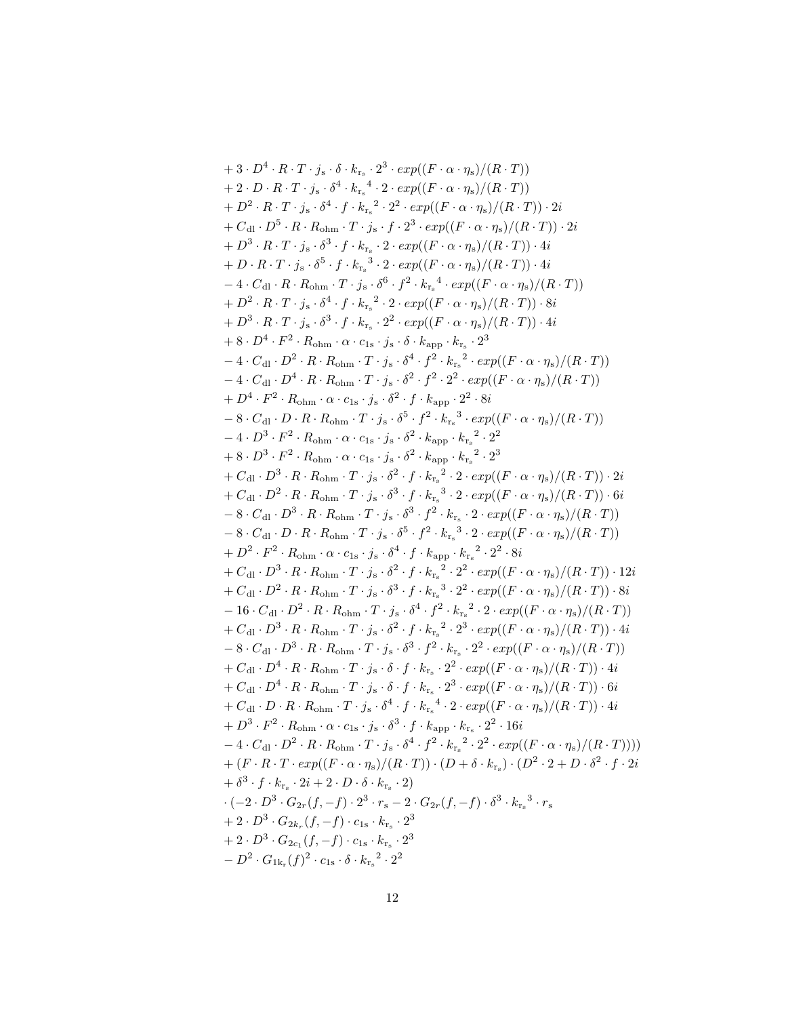+3. 
$$
D^4 \cdot R \cdot T \cdot j_s \cdot \delta \cdot k_{r_s} \cdot 2^3 \cdot \exp((F \cdot \alpha \cdot \eta_s)/(R \cdot T))
$$
  
+2.  $D \cdot R \cdot T \cdot j_s \cdot \delta^4 \cdot k_{r_s} \cdot 4 \cdot 2 \cdot \exp((F \cdot \alpha \cdot \eta_s)/(R \cdot T))$   
+ $D^2 \cdot R \cdot T \cdot j_s \cdot \delta^4 \cdot f \cdot k_{r_s} \cdot 2^2 \cdot \exp((F \cdot \alpha \cdot \eta_s)/(R \cdot T)) \cdot 2i$   
+ $C_{\rm dl} \cdot D^5 \cdot R \cdot R_{\rm ohm} \cdot T \cdot j_s \cdot f \cdot 2^3 \cdot \exp((F \cdot \alpha \cdot \eta_s)/(R \cdot T)) \cdot 2i$   
+ $D^3 \cdot R \cdot T \cdot j_s \cdot \delta^5 \cdot f \cdot k_{r_s} \cdot 2 \cdot \exp((F \cdot \alpha \cdot \eta_s)/(R \cdot T)) \cdot 4i$   
+ $D \cdot R \cdot T \cdot j_s \cdot \delta^5 \cdot f \cdot k_{r_s} \cdot 3 \cdot 2 \cdot \exp((F \cdot \alpha \cdot \eta_s)/(R \cdot T)) \cdot 4i$   
+ $D \cdot R \cdot T \cdot j_s \cdot \delta^6 \cdot f \cdot k_{r_s} \cdot 2 \cdot \exp((F \cdot \alpha \cdot \eta_s)/(R \cdot T))$   
+ $D^2 \cdot R \cdot T \cdot j_s \cdot \delta^6 \cdot f \cdot k_{r_s} \cdot 2^2 \cdot \exp((F \cdot \alpha \cdot \eta_s)/(R \cdot T))$   
+ $D^3 \cdot R \cdot T \cdot j_s \cdot \delta^4 \cdot f \cdot k_{r_s} \cdot 2^2 \cdot \exp((F \cdot \alpha \cdot \eta_s)/(R \cdot T))$   
+ $D^3 \cdot R \cdot T \cdot j_s \cdot \delta^3 \cdot f \cdot k_{r_s} \cdot 2^2 \cdot \exp((F \cdot \alpha \cdot \eta_s)/(R \cdot T))$   
+ $D^4 \cdot F^2 \cdot R_{\rm ohm} \cdot \alpha \cdot c_{1s} \cdot j_s \cdot \delta^4 \cdot f^2 \cdot k_{r_s} \cdot 2^3$   
- $4 \cdot C_{\rm dl} \cdot D^4 \cdot R \cdot R_{\rm ohm} \cdot T \cdot j_s \cdot \delta^4 \cdot f^2 \cdot k_{r_s} \cdot$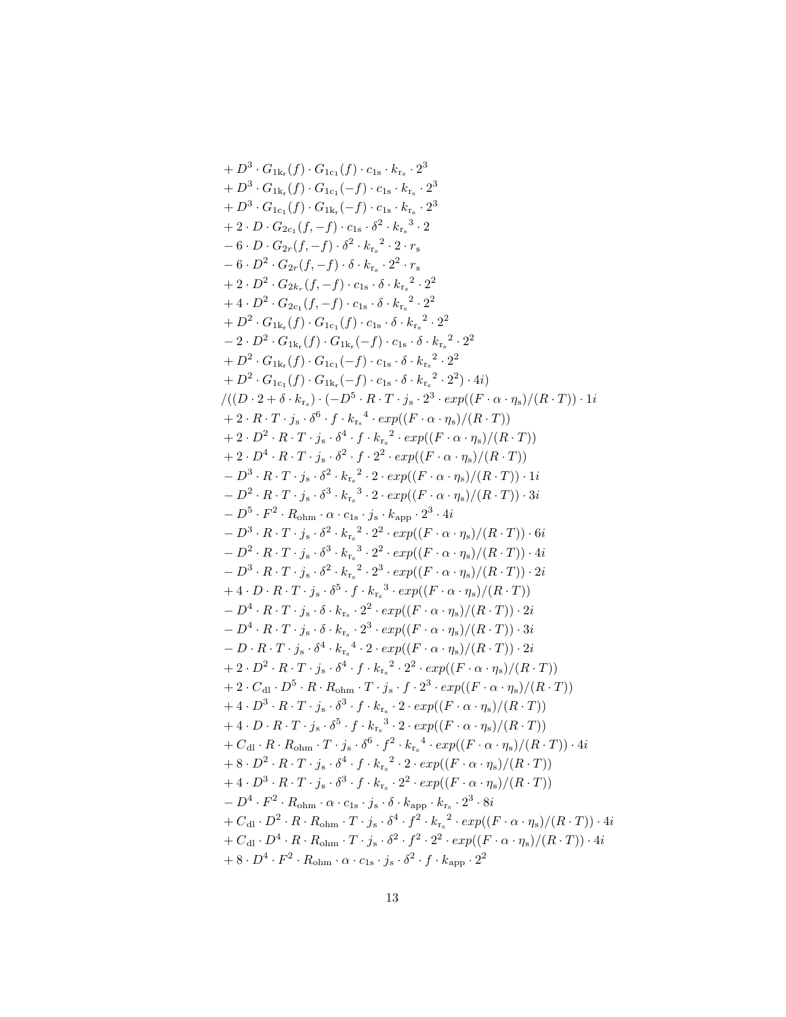+ 
$$
D^3 \cdot G_{1k_r}(f) \cdot G_{1c_1}(f) \cdot c_{1s} \cdot k_{r_s} \cdot 2^3
$$
  
+  $D^3 \cdot G_{1k_r}(f) \cdot G_{1c_1}(-f) \cdot c_{1s} \cdot k_{r_s} \cdot 2^3$   
+  $D^3 \cdot G_{1c_1}(f) \cdot G_{1k_r}(-f) \cdot c_{1s} \cdot k_{r_s} \cdot 2^3$   
+  $2 \cdot D \cdot G_{2c_1}(f,-f) \cdot c_{1s} \cdot \delta^2 \cdot k_{r_s}^2 \cdot 2$   
+  $2 \cdot D \cdot G_{2c_1}(f,-f) \cdot c_2 \cdot \delta^2 \cdot k_{r_s}^2 \cdot 2$   
-  $6 \cdot D^2 \cdot G_{2r}(f,-f) \cdot \delta \cdot k_{r_s} \cdot 2^2 \cdot r_s$   
+  $2 \cdot D^2 \cdot G_{2k_r}(f,-f) \cdot c_{1s} \cdot \delta \cdot k_{r_s}^2 \cdot 2^2$   
+  $2 \cdot D^2 \cdot G_{2k_r}(f,-f) \cdot c_{1s} \cdot \delta \cdot k_{r_s}^2 \cdot 2^2$   
+  $D^2 \cdot G_{1k_r}(f) \cdot G_{1c_1}(f) \cdot c_{1s} \cdot \delta \cdot k_{r_s}^2 \cdot 2^2$   
-  $2 \cdot D^2 \cdot G_{1k_r}(f) \cdot G_{1c_1}(-f) \cdot c_{1s} \cdot \delta \cdot k_{r_s}^2 \cdot 2^2$   
-  $2 \cdot D^2 \cdot G_{1k_r}(f) \cdot G_{1c_1}(-f) \cdot c_{1s} \cdot \delta \cdot k_{r_s}^2 \cdot 2^2$   
+  $D^2 \cdot G_{1k_r}(f) \cdot G_{1c_1}(-f) \cdot c_{1s} \cdot \delta \cdot k_{r_s}^2 \cdot 2^2$   
+  $D^2 \cdot G_{1k_r}(f) \cdot G_{1c_1}(-f) \cdot c_{1s} \cdot \delta \cdot k_{r_s}^2 \cdot 2^2$   
+  $D^2 \cdot G_{1c_1}(f) \cdot G_{1c_1}(-f) \cdot c_{1s} \cdot \delta \cdot k_{r_s}^2 \cdot 2^2$   
+  $D$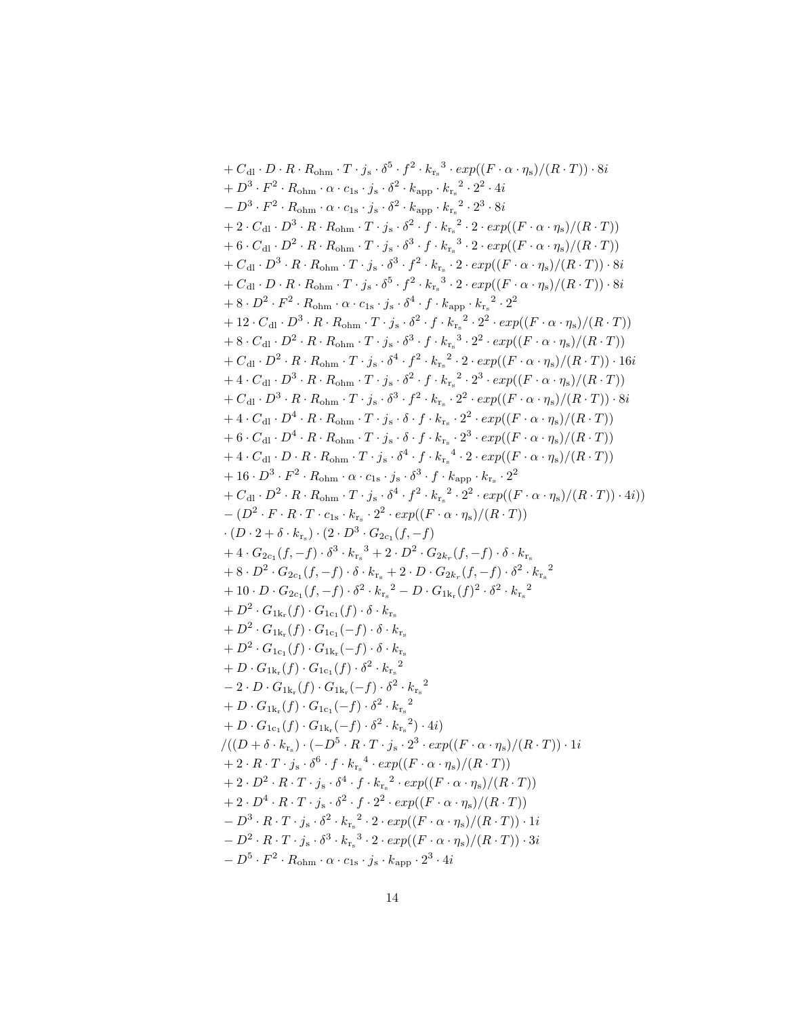+ 
$$
C_{\rm d}
$$
 ·  $D \cdot R \cdot R_{\rm ohm} \cdot T \cdot j_s \cdot \delta^5 \cdot f^2 \cdot k_{\rm r_2}^3 \cdot exp((F \cdot \alpha \cdot \eta_s)/(R \cdot T)) \cdot 8i$   
+  $D^3 \cdot F^2 \cdot R_{\rm ohm} \cdot \alpha \cdot c_{1s} \cdot j_s \cdot \delta^2 \cdot k_{\rm app} \cdot k_{\rm r_2}^2 \cdot 2^2 \cdot 4i$   
-  $D^3 \cdot F^2 \cdot R_{\rm ohm} \cdot \alpha \cdot c_{1s} \cdot j_s \cdot \delta^2 \cdot k_{\rm app} \cdot k_{\rm r_2}^2 \cdot 2^3 \cdot 8i$   
+  $2 \cdot C_{\rm d1} \cdot D^3 \cdot R \cdot R_{\rm ohm} \cdot T \cdot j_s \cdot \delta^2 \cdot f \cdot k_{\rm r_2}^2 \cdot 2 \cdot exp((F \cdot \alpha \cdot \eta_s)/(R \cdot T))$   
+  $G_{\rm d1} \cdot D^2 \cdot R \cdot R_{\rm ohm} \cdot T \cdot j_s \cdot \delta^3 \cdot f^2 \cdot k_{\rm r_2} \cdot 2 \cdot exp((F \cdot \alpha \cdot \eta_s)/(R \cdot T))$   
+  $C_{\rm d1} \cdot D^3 \cdot R \cdot R_{\rm ohm} \cdot T \cdot j_s \cdot \delta^3 \cdot f^2 \cdot k_{\rm r_2} \cdot 2 \cdot exp((F \cdot \alpha \cdot \eta_s)/(R \cdot T))$   
+  $C_{\rm d1} \cdot D \cdot R \cdot R_{\rm ohm} \cdot T \cdot j_s \cdot \delta^5 \cdot f^2 \cdot k_{\rm r_2}^3 \cdot 2 \cdot exp((F \cdot \alpha \cdot \eta_s)/(R \cdot T)) \cdot 8i$   
+  $8 \cdot D^2 \cdot F^2 \cdot R_{\rm ohm} \cdot C \cdot 15 \cdot j_s \cdot \delta^4 \cdot f \cdot k_{\rm app} \cdot k_{\rm r_2}^2 \cdot 2^2$   
+  $2 \cdot C_{\rm d1} \cdot D^3 \cdot R \cdot R_{\rm ohm} \cdot T \cdot j_s \cdot \delta^3 \cdot f \cdot k_{\rm r_2}^3 \cdot 2^2 \cdot exp((F \cdot \alpha \cdot \eta_s)/(R \cdot T))$   
+  $G_{\rm d1} \cdot D^3 \cdot R \cdot R_{$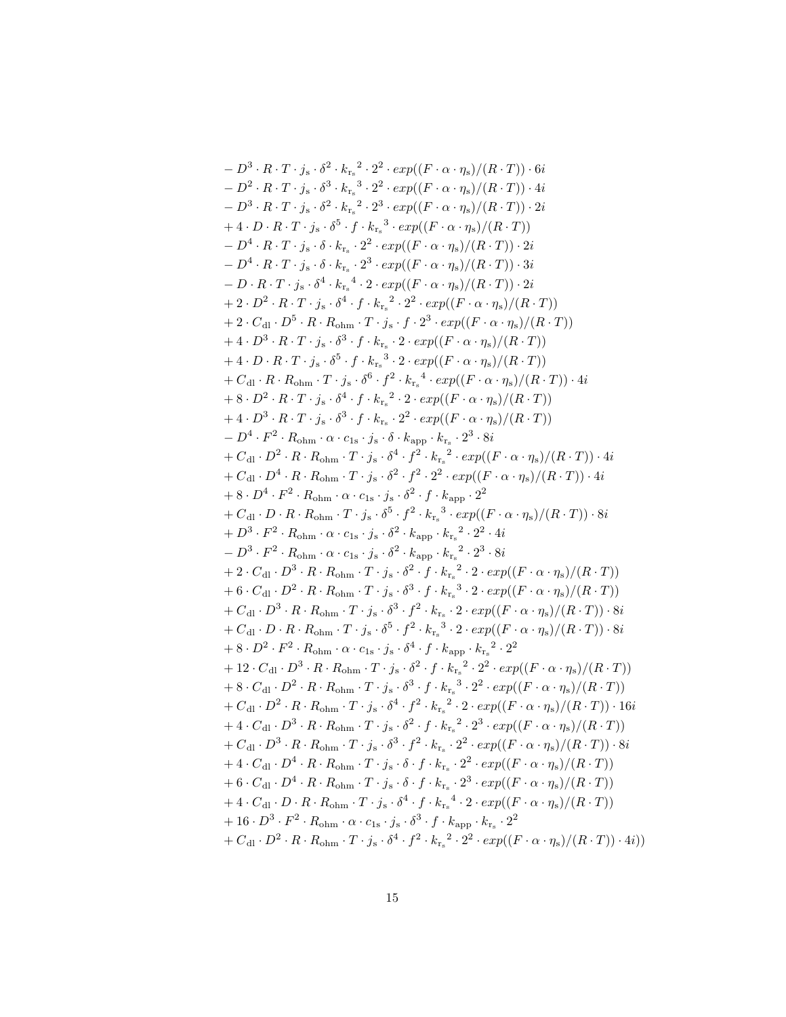$$
-D^3 \cdot R \cdot T \cdot j_s \cdot \delta^2 \cdot k_{r_s}^2 \cdot 2^2 \cdot exp((F \cdot \alpha \cdot \eta_s)/(R \cdot T)) \cdot 6i
$$
  
\n
$$
-D^2 \cdot R \cdot T \cdot j_s \cdot \delta^3 \cdot k_{r_s}^3 \cdot 2^2 \cdot exp((F \cdot \alpha \cdot \eta_s)/(R \cdot T)) \cdot 4i
$$
  
\n
$$
-D^3 \cdot R \cdot T \cdot j_s \cdot \delta^2 \cdot k_{r_s}^2 \cdot 2^3 \cdot exp((F \cdot \alpha \cdot \eta_s)/(R \cdot T)) \cdot 2i
$$
  
\n
$$
+ 4 \cdot D \cdot R \cdot T \cdot j_s \cdot \delta^5 \cdot f \cdot k_{r_s}^3 \cdot exp((F \cdot \alpha \cdot \eta_s)/(R \cdot T)) \cdot 2i
$$
  
\n
$$
+ 4 \cdot D \cdot R \cdot T \cdot j_s \cdot \delta^4 \cdot k_{r_s}^2 \cdot 2^2 \cdot exp((F \cdot \alpha \cdot \eta_s)/(R \cdot T)) \cdot 2i
$$
  
\n
$$
-D^4 \cdot R \cdot T \cdot j_s \cdot \delta^4 \cdot k_{r_s}^2 \cdot 2^2 \cdot exp((F \cdot \alpha \cdot \eta_s)/(R \cdot T)) \cdot 2i
$$
  
\n
$$
+ 2 \cdot D^2 \cdot R \cdot T \cdot j_s \cdot \delta^4 \cdot k_{r_s}^2 \cdot 2^2 \cdot exp((F \cdot \alpha \cdot \eta_s)/(R \cdot T))
$$
  
\n
$$
+ 2 \cdot D^2 \cdot R \cdot T \cdot j_s \cdot \delta^4 \cdot f \cdot k_{r_s}^2 \cdot 2^2 \cdot exp((F \cdot \alpha \cdot \eta_s)/(R \cdot T))
$$
  
\n
$$
+ 2 \cdot C_{\rm dl} \cdot D^5 \cdot R \cdot R_{\rm ohm} \cdot T \cdot j_s \cdot f \cdot 2^3 \cdot exp((F \cdot \alpha \cdot \eta_s)/(R \cdot T))
$$
  
\n
$$
+ 4 \cdot D^3 \cdot R \cdot T \cdot j_s \cdot \delta^5 \cdot f \cdot k_{r_s}^3 \cdot 2 \cdot exp((F \cdot \alpha \cdot \eta_s)/(R \cdot T))
$$
  
\n
$$
+ 4 \cdot D^3 \cdot R \cdot T \cdot j_s \cdot \delta^5 \cdot f \cdot k_{r_s
$$

15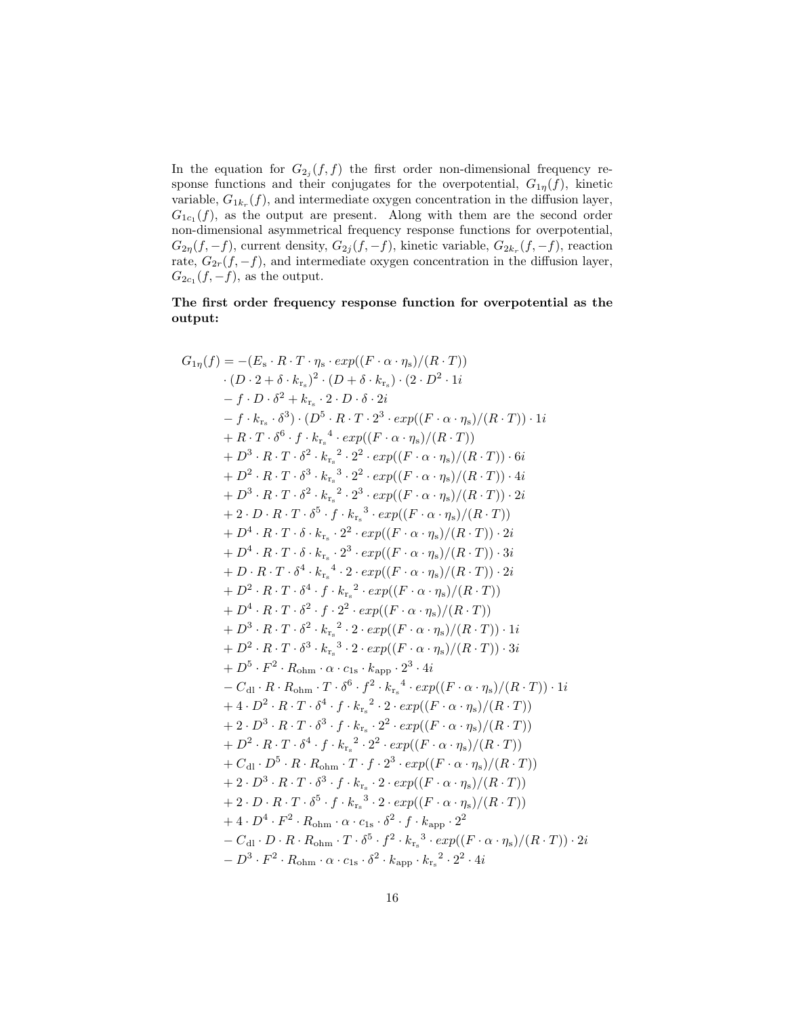In the equation for  $G_{2j}(f, f)$  the first order non-dimensional frequency response functions and their conjugates for the overpotential,  $G_{1\eta}(f)$ , kinetic variable,  $G_{1k_r}(f)$ , and intermediate oxygen concentration in the diffusion layer,  $G_{1c_1}(f)$ , as the output are present. Along with them are the second order non-dimensional asymmetrical frequency response functions for overpotential,  $G_{2\eta}(f,-f)$ , current density,  $G_{2j}(f,-f)$ , kinetic variable,  $G_{2k_r}(f,-f)$ , reaction rate,  $G_{2r}(f, -f)$ , and intermediate oxygen concentration in the diffusion layer,  $G_{2c_1}(f,-f)$ , as the output.

#### The first order frequency response function for overpotential as the output:

$$
G_{1\eta}(f) = -(E_{\rm s} \cdot R \cdot T \cdot \eta_{\rm s} \cdot exp((F \cdot \alpha \cdot \eta_{\rm s})/(R \cdot T))
$$
  
\n
$$
(D \cdot 2 + \delta \cdot k_{\rm r_{\rm s}})^{2} \cdot (D + \delta \cdot k_{\rm r_{\rm s}}) \cdot (2 \cdot D^{2} \cdot 1i
$$
  
\n
$$
-f \cdot D \cdot \delta^{2} + k_{\rm r_{\rm s}} \cdot 2 \cdot D \cdot \delta \cdot 2i
$$
  
\n
$$
-f \cdot k_{\rm r_{\rm s}} \cdot \delta^{3}) \cdot (D^{5} \cdot R \cdot T \cdot 2^{3} \cdot exp((F \cdot \alpha \cdot \eta_{\rm s})/(R \cdot T)) \cdot 1i
$$
  
\n
$$
+ R \cdot T \cdot \delta^{6} \cdot f \cdot k_{\rm r_{\rm s}}^{4} \cdot exp((F \cdot \alpha \cdot \eta_{\rm s})/(R \cdot T)) \cdot 6i
$$
  
\n
$$
+ D^{3} \cdot R \cdot T \cdot \delta^{2} \cdot k_{\rm r_{\rm s}}^{3} \cdot 2^{2} \cdot exp((F \cdot \alpha \cdot \eta_{\rm s})/(R \cdot T)) \cdot 6i
$$
  
\n
$$
+ D^{3} \cdot R \cdot T \cdot \delta^{3} \cdot k_{\rm r_{\rm s}}^{3} \cdot 2^{2} \cdot exp((F \cdot \alpha \cdot \eta_{\rm s})/(R \cdot T)) \cdot 2i
$$
  
\n
$$
+ 2 \cdot D \cdot R \cdot T \cdot \delta^{5} \cdot f \cdot k_{\rm r_{\rm s}}^{3} \cdot exp((F \cdot \alpha \cdot \eta_{\rm s})/(R \cdot T)) \cdot 2i
$$
  
\n
$$
+ 2 \cdot D \cdot R \cdot T \cdot \delta^{5} \cdot f \cdot k_{\rm r_{\rm s}}^{3} \cdot exp((F \cdot \alpha \cdot \eta_{\rm s})/(R \cdot T)) \cdot 2i
$$
  
\n
$$
+ D^{4} \cdot R \cdot T \cdot \delta \cdot k_{\rm r_{\rm s}} \cdot 2^{2} \cdot exp((F \cdot \alpha \cdot \eta_{\rm s})/(R \cdot T)) \cdot 2i
$$
  
\n
$$
+ D^{4} \cdot R \cdot T \cdot \delta^{4} \cdot k_{\rm
$$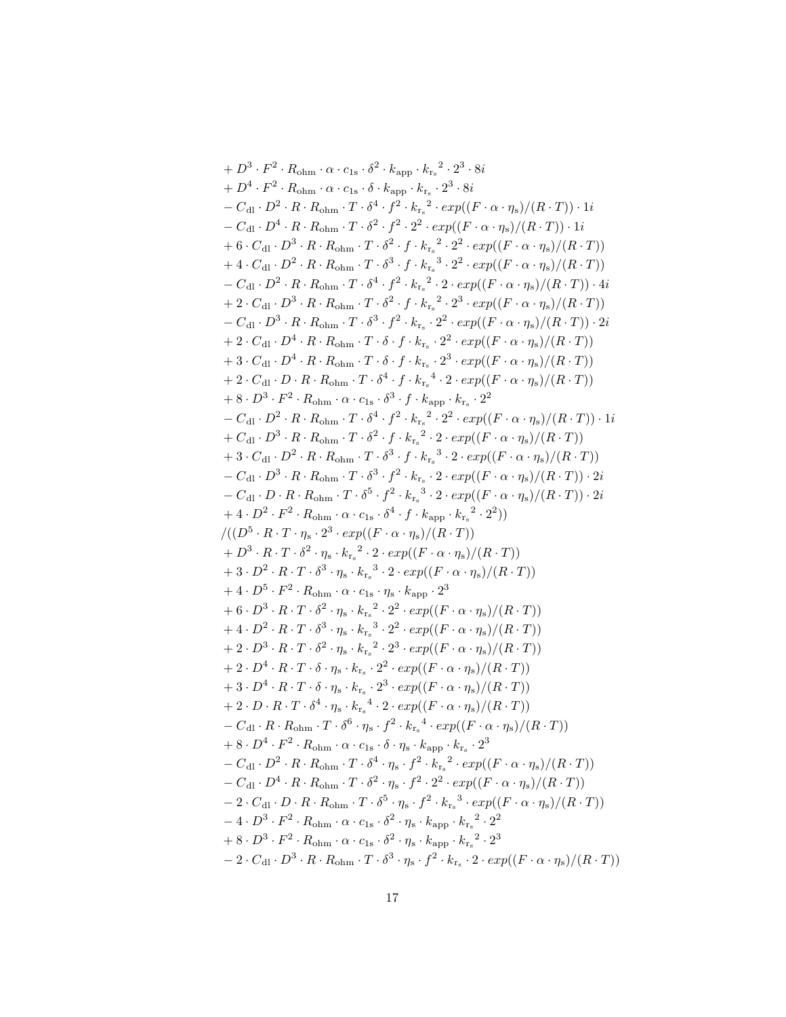+ 
$$
D^3 \cdot F^2 \cdot R_{\text{ohm}} \cdot \alpha \cdot c_{1s} \cdot \delta^2 \cdot k_{\text{app}} \cdot k_{r_s}^2 \cdot 2^3 \cdot 8i
$$
  
\n+  $D^4 \cdot F^2 \cdot R_{\text{ohm}} \cdot \alpha \cdot c_{1s} \cdot \delta \cdot k_{\text{app}} \cdot k_{r_s}^2 \cdot 2^3 \cdot 8i$   
\n-  $C_{d1} \cdot D^2 \cdot R \cdot R_{\text{ohm}} \cdot T \cdot \delta^4 \cdot f^2 \cdot k_{r_s}^2 \cdot 2exp((F \cdot \alpha \cdot \eta_s)/(R \cdot T)) \cdot 1i$   
\n-  $C_{d1} \cdot D^3 \cdot R \cdot R_{\text{ohm}} \cdot T \cdot \delta^2 \cdot f^2 \cdot 2^2 \cdot exp((F \cdot \alpha \cdot \eta_s)/(R \cdot T)) \cdot 1i$   
\n+ 6  $C_{d1} \cdot D^3 \cdot R \cdot R_{\text{ohm}} \cdot T \cdot \delta^3 \cdot f \cdot k_{r_s}^2 \cdot 2^2 \cdot exp((F \cdot \alpha \cdot \eta_s)/(R \cdot T))$   
\n+ 4  $C_{d1} \cdot D^2 \cdot R \cdot R_{\text{ohm}} \cdot T \cdot \delta^3 \cdot f \cdot k_{r_s}^2 \cdot 2^2 \cdot exp((F \cdot \alpha \cdot \eta_s)/(R \cdot T))$   
\n-  $C_{d1} \cdot D^2 \cdot R \cdot R_{\text{ohm}} \cdot T \cdot \delta^3 \cdot f \cdot k_{r_s}^2 \cdot 2^2 \cdot exp((F \cdot \alpha \cdot \eta_s)/(R \cdot T))$   
\n+ 2  $C_{d1} \cdot D^3 \cdot R \cdot R_{\text{ohm}} \cdot T \cdot \delta^3 \cdot f \cdot k_{r_s}^2 \cdot 2^3 \cdot exp((F \cdot \alpha \cdot \eta_s)/(R \cdot T))$   
\n+ 2  $C_{d1} \cdot D^3 \cdot R \cdot R_{\text{ohm}} \cdot T \cdot \delta^3 \cdot f \cdot k_{r_s}^2 \cdot 2^2 \cdot exp((F \cdot \alpha \cdot \eta_s)/(R \cdot T))$   
\n+ 3  $C_{d1} \cdot D^4 \cdot R \cdot R_{\text{ohm}} \cdot T \cdot \delta^3 \cdot f \cdot k_{r_s}^2 \cdot 2^2 \cdot exp(($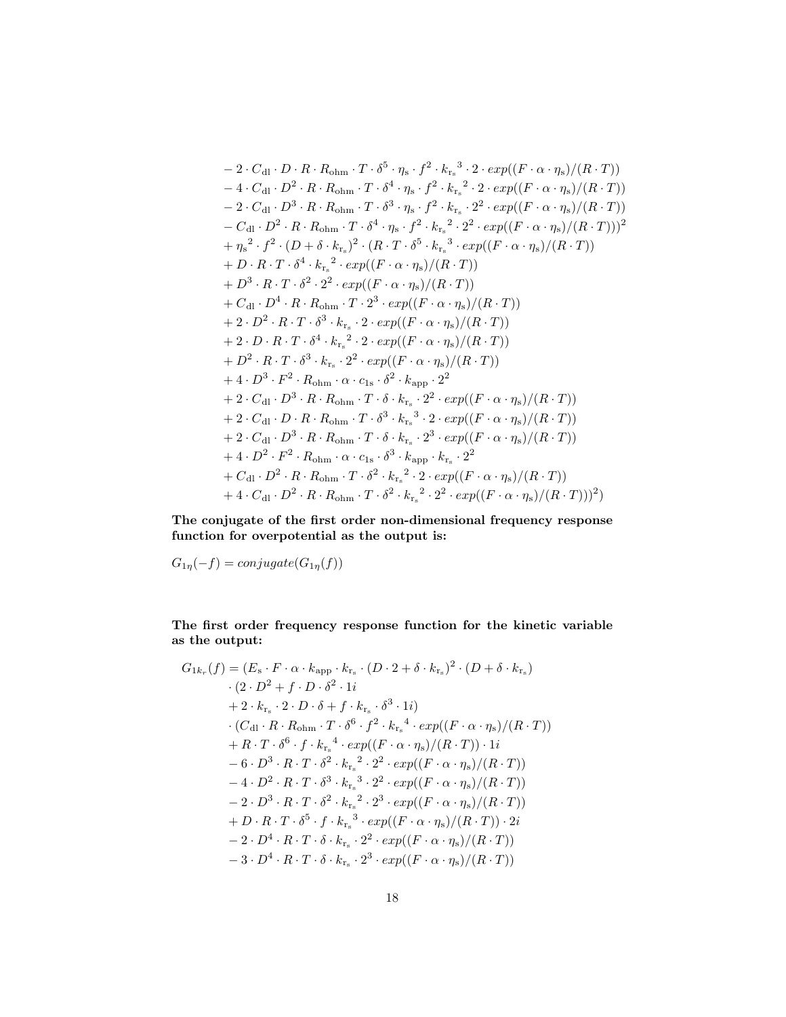$$
-2 \cdot C_{d1} \cdot D \cdot R \cdot R_{ohm} \cdot T \cdot \delta^{5} \cdot \eta_{s} \cdot f^{2} \cdot k_{r_{s}}^{3} \cdot 2 \cdot exp((F \cdot \alpha \cdot \eta_{s})/(R \cdot T))
$$
  
\n
$$
-4 \cdot C_{d1} \cdot D^{2} \cdot R \cdot R_{ohm} \cdot T \cdot \delta^{4} \cdot \eta_{s} \cdot f^{2} \cdot k_{r_{s}}^{2} \cdot 2 \cdot exp((F \cdot \alpha \cdot \eta_{s})/(R \cdot T))
$$
  
\n
$$
-2 \cdot C_{d1} \cdot D^{3} \cdot R \cdot R_{ohm} \cdot T \cdot \delta^{3} \cdot \eta_{s} \cdot f^{2} \cdot k_{r_{s}}^{2} \cdot 2 \cdot exp((F \cdot \alpha \cdot \eta_{s})/(R \cdot T))
$$
  
\n
$$
-C_{d1} \cdot D^{2} \cdot R \cdot R_{ohm} \cdot T \cdot \delta^{4} \cdot \eta_{s} \cdot f^{2} \cdot k_{r_{s}}^{2} \cdot 2^{2} \cdot exp((F \cdot \alpha \cdot \eta_{s})/(R \cdot T)))
$$
  
\n
$$
+ \eta_{s}^{2} \cdot f^{2} \cdot (D + \delta \cdot k_{r_{s}})^{2} \cdot (R \cdot T \cdot \delta^{5} \cdot k_{r_{s}}^{3} \cdot exp((F \cdot \alpha \cdot \eta_{s})/(R \cdot T))
$$
  
\n
$$
+ D \cdot R \cdot T \cdot \delta^{4} \cdot k_{r_{s}}^{2} \cdot exp((F \cdot \alpha \cdot \eta_{s})/(R \cdot T))
$$
  
\n
$$
+ D^{3} \cdot R \cdot T \cdot \delta^{2} \cdot 2^{2} \cdot exp((F \cdot \alpha \cdot \eta_{s})/(R \cdot T))
$$
  
\n
$$
+ 2 \cdot D^{2} \cdot R \cdot T \cdot \delta^{3} \cdot k_{r_{s}}^{2} \cdot 2 \cdot exp((F \cdot \alpha \cdot \eta_{s})/(R \cdot T))
$$
  
\n
$$
+ 2 \cdot D \cdot R \cdot T \cdot \delta^{3} \cdot k_{r_{s}}^{2} \cdot 2 \cdot exp((F \cdot \alpha \cdot \eta_{s})/(R \cdot T))
$$
  
\n
$$
+ 2 \cdot D \cdot R \cdot T \cdot \delta^{3} \cdot k_{
$$

The conjugate of the first order non-dimensional frequency response function for overpotential as the output is:

 $G_{1\eta}(-f) = conjugate(G_{1\eta}(f))$ 

The first order frequency response function for the kinetic variable as the output:

$$
G_{1k_r}(f) = (E_s \cdot F \cdot \alpha \cdot k_{\rm app} \cdot k_{r_s} \cdot (D \cdot 2 + \delta \cdot k_{r_s})^2 \cdot (D + \delta \cdot k_{r_s})
$$
  
\n
$$
\cdot (2 \cdot D^2 + f \cdot D \cdot \delta^2 \cdot 1i
$$
  
\n
$$
+ 2 \cdot k_{r_s} \cdot 2 \cdot D \cdot \delta + f \cdot k_{r_s} \cdot \delta^3 \cdot 1i)
$$
  
\n
$$
\cdot (C_{\rm dl} \cdot R \cdot R_{\rm ohm} \cdot T \cdot \delta^6 \cdot f^2 \cdot k_{r_s}^4 \cdot exp((F \cdot \alpha \cdot \eta_s)/(R \cdot T))
$$
  
\n
$$
+ R \cdot T \cdot \delta^6 \cdot f \cdot k_{r_s}^4 \cdot exp((F \cdot \alpha \cdot \eta_s)/(R \cdot T)) \cdot 1i
$$
  
\n
$$
- 6 \cdot D^3 \cdot R \cdot T \cdot \delta^2 \cdot k_{r_s}^2 \cdot 2^2 \cdot exp((F \cdot \alpha \cdot \eta_s)/(R \cdot T))
$$
  
\n
$$
- 4 \cdot D^2 \cdot R \cdot T \cdot \delta^3 \cdot k_{r_s}^3 \cdot 2^2 \cdot exp((F \cdot \alpha \cdot \eta_s)/(R \cdot T))
$$
  
\n
$$
- 2 \cdot D^3 \cdot R \cdot T \cdot \delta^2 \cdot k_{r_s}^2 \cdot 2^3 \cdot exp((F \cdot \alpha \cdot \eta_s)/(R \cdot T))
$$
  
\n
$$
+ D \cdot R \cdot T \cdot \delta^5 \cdot f \cdot k_{r_s}^3 \cdot exp((F \cdot \alpha \cdot \eta_s)/(R \cdot T)) \cdot 2i
$$
  
\n
$$
- 2 \cdot D^4 \cdot R \cdot T \cdot \delta \cdot k_{r_s} \cdot 2^2 \cdot exp((F \cdot \alpha \cdot \eta_s)/(R \cdot T))
$$
  
\n
$$
- 3 \cdot D^4 \cdot R \cdot T \cdot \delta \cdot k_{r_s} \cdot 2^3 \cdot exp((F \cdot \alpha \cdot \eta_s)/(R \cdot T))
$$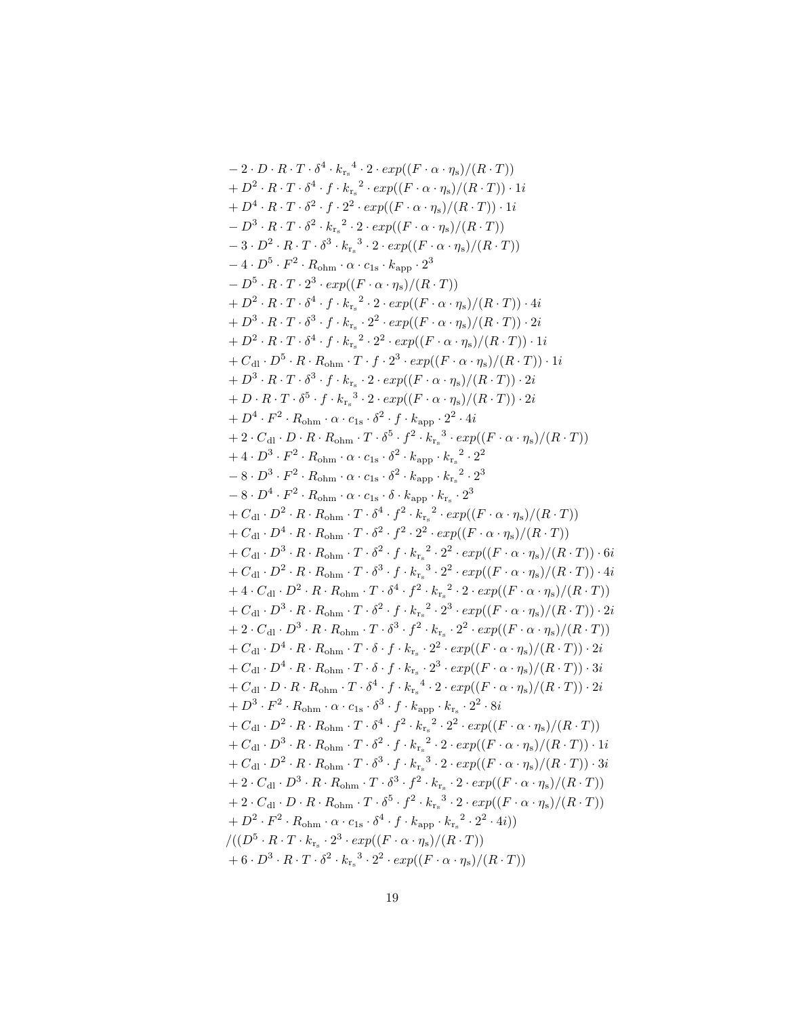$$
-2 \cdot D \cdot R \cdot T \cdot \delta^4 \cdot k_{r_*}^4 \cdot 2 \cdot exp((F \cdot \alpha \cdot \eta_s)/(R \cdot T))
$$
  
\n
$$
+ D^2 \cdot R \cdot T \cdot \delta^4 \cdot f \cdot k_{r_*}^2 \cdot exp((F \cdot \alpha \cdot \eta_s)/(R \cdot T)) \cdot 1i
$$
  
\n
$$
+ D^4 \cdot R \cdot T \cdot \delta^2 \cdot f \cdot 2^2 \cdot exp((F \cdot \alpha \cdot \eta_s)/(R \cdot T)) \cdot 1i
$$
  
\n
$$
- D^3 \cdot R \cdot T \cdot \delta^2 \cdot k_{r_*}^2 \cdot 2 \cdot exp((F \cdot \alpha \cdot \eta_s)/(R \cdot T))
$$
  
\n
$$
- 3 \cdot D^2 \cdot R \cdot T \cdot \delta^3 \cdot k_{r_*}^2 \cdot 2 \cdot exp((F \cdot \alpha \cdot \eta_s)/(R \cdot T))
$$
  
\n
$$
- 4 \cdot D^5 \cdot F^2 \cdot R_{\text{ohm}} \cdot \alpha \cdot c_{1s} \cdot k_{\text{app}} \cdot 2^3
$$
  
\n
$$
- D^5 \cdot R \cdot T \cdot 2^3 \cdot exp((F \cdot \alpha \cdot \eta_s)/(R \cdot T))
$$
  
\n
$$
+ D^2 \cdot R \cdot T \cdot \delta^4 \cdot f \cdot k_{r_*}^2 \cdot 2 \cdot exp((F \cdot \alpha \cdot \eta_s)/(R \cdot T)) \cdot 4i
$$
  
\n
$$
+ D^2 \cdot R \cdot T \cdot \delta^4 \cdot f \cdot k_{r_*}^2 \cdot 2^2 \cdot exp((F \cdot \alpha \cdot \eta_s)/(R \cdot T)) \cdot 2i
$$
  
\n
$$
+ D^3 \cdot R \cdot T \cdot \delta^5 \cdot f \cdot k_{r_*}^2 \cdot 2^2 \cdot exp((F \cdot \alpha \cdot \eta_s)/(R \cdot T)) \cdot 2i
$$
  
\n
$$
+ D \cdot R \cdot T \cdot \delta^5 \cdot f \cdot k_{r_*}^2 \cdot 2^2 \cdot exp((F \cdot \alpha \cdot \eta_s)/(R \cdot T)) \cdot 2i
$$
  
\n
$$
+ D \cdot R \cdot T \cdot \delta^5 \cdot f \cdot k_{r_*}^3 \cdot 2 \cdot exp((F \cdot \alpha \cdot \eta_s)/(R \cdot T)) \cdot 2i
$$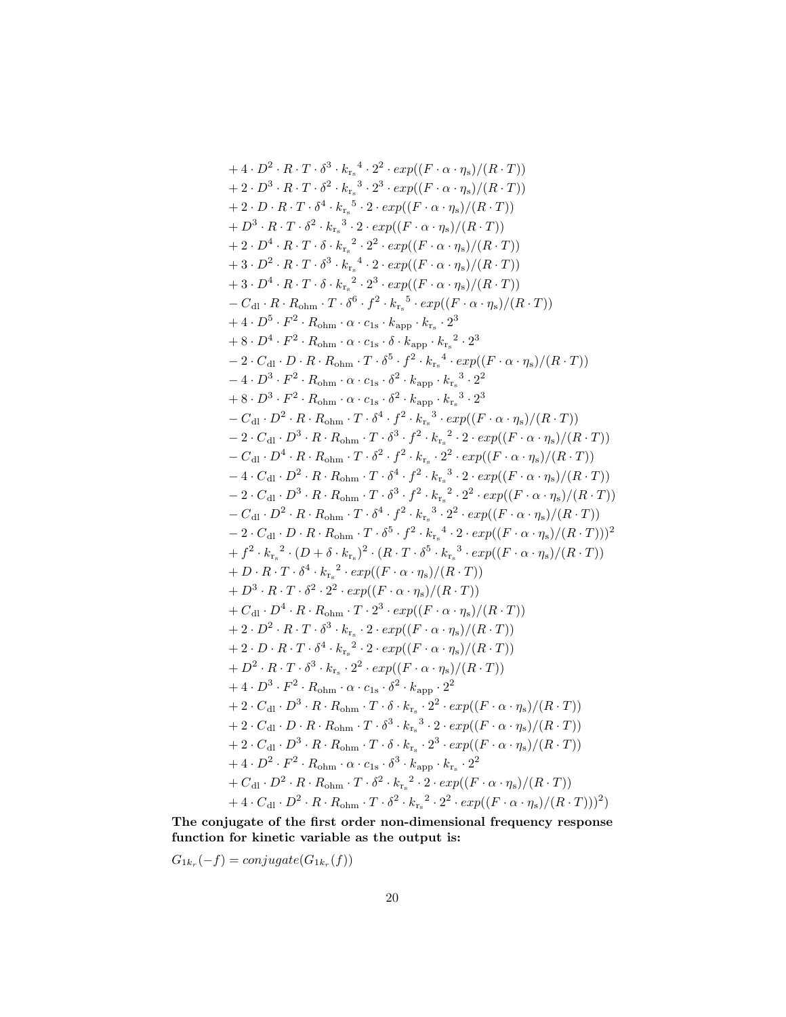+4 
$$
\cdot
$$
  $D^2 \cdot R \cdot T \cdot \delta^3 \cdot k_{r_s}^4 \cdot 2^2 \cdot exp((F \cdot \alpha \cdot \eta_s)/(R \cdot T))$   
+2  $\cdot D^3 \cdot R \cdot T \cdot \delta^2 \cdot k_{r_s}^3 \cdot 2^3 \cdot exp((F \cdot \alpha \cdot \eta_s)/(R \cdot T))$   
+2  $\cdot D \cdot R \cdot T \cdot \delta^4 \cdot k_{r_s}^5 \cdot 2 \cdot exp((F \cdot \alpha \cdot \eta_s)/(R \cdot T))$   
+2  $\cdot D^4 \cdot R \cdot T \cdot \delta^2 \cdot k_{r_s}^3 \cdot 2 \cdot exp((F \cdot \alpha \cdot \eta_s)/(R \cdot T))$   
+3  $\cdot R \cdot T \cdot \delta \cdot k_{r_s}^2 \cdot 2^2 \cdot exp((F \cdot \alpha \cdot \eta_s)/(R \cdot T))$   
+3  $\cdot D^2 \cdot R \cdot T \cdot \delta^3 \cdot k_{r_s}^4 \cdot 2 \cdot exp((F \cdot \alpha \cdot \eta_s)/(R \cdot T))$   
+3  $\cdot D^4 \cdot R \cdot T \cdot \delta \cdot k_{r_s}^2 \cdot 2^3 \cdot exp((F \cdot \alpha \cdot \eta_s)/(R \cdot T))$   
- $C_{dl} \cdot R \cdot R_{ohm} \cdot T \cdot \delta^6 \cdot f^2 \cdot k_{r_s}^5 \cdot exp((F \cdot \alpha \cdot \eta_s)/(R \cdot T))$   
- $C_{dl} \cdot R \cdot R_{ohm} \cdot T \cdot \delta^6 \cdot f^2 \cdot k_{r_s}^5 \cdot exp((F \cdot \alpha \cdot \eta_s)/(R \cdot T))$   
+4  $\cdot D^5 \cdot F^2 \cdot R_{ohm} \cdot \alpha \cdot c_{1s} \cdot k_{app} \cdot k_{r_s} \cdot 2^3$   
+8  $\cdot D^4 \cdot F^2 \cdot R_{ohm} \cdot \alpha \cdot c_{1s} \cdot \delta^2 \cdot k_{app} \cdot k_{r_s}^2 \cdot 2^3$   
-2  $\cdot C_{dl} \cdot D \cdot R \cdot R_{ohm} \cdot T \cdot \delta^5 \cdot f^2 \cdot k_{r_s}^5 \cdot 2^2$   
-2  $\cdot C_{dl} \cdot D \cdot R \cdot R_{ohm} \cdot T \cdot \delta^5 \cdot f^2 \cdot k_{r_s}^4 \cdot exp((F \cdot \alpha$ 

The conjugate of the first order non-dimensional frequency response function for kinetic variable as the output is:

 $G_{1k_r}(-f) = conjugate(G_{1k_r}(f))$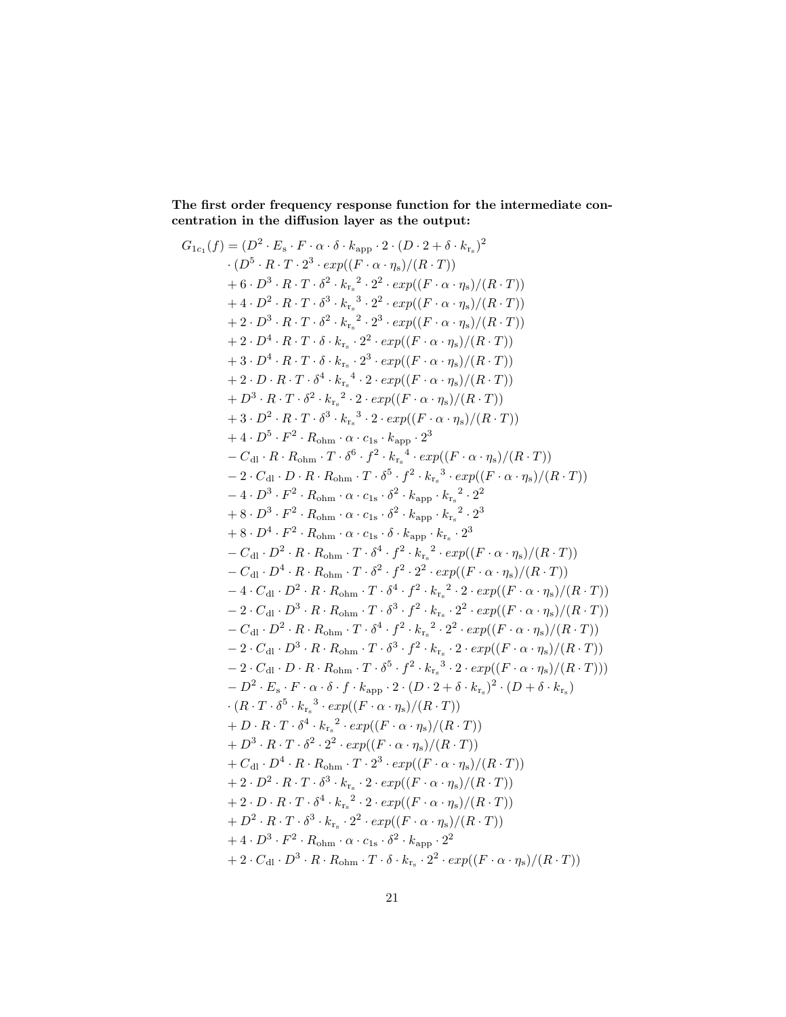The first order frequency response function for the intermediate concentration in the diffusion layer as the output:

$$
G_{1c_{1}}(f) = (D^{2} \cdot E_{s} \cdot F \cdot \alpha \cdot \delta \cdot k_{app} \cdot 2 \cdot (D \cdot 2 + \delta \cdot k_{rs})^{2}
$$
  
\n
$$
\cdot (D^{5} \cdot R \cdot T \cdot 2^{3} \cdot exp((F \cdot \alpha \cdot \eta_{s})/(R \cdot T))
$$
  
\n
$$
+ 6 \cdot D^{3} \cdot R \cdot T \cdot \delta^{2} \cdot k_{rs}^{2} \cdot 2^{2} \cdot exp((F \cdot \alpha \cdot \eta_{s})/(R \cdot T))
$$
  
\n
$$
+ 4 \cdot D^{2} \cdot R \cdot T \cdot \delta^{3} \cdot k_{rs}^{3} \cdot 2^{2} \cdot exp((F \cdot \alpha \cdot \eta_{s})/(R \cdot T))
$$
  
\n
$$
+ 2 \cdot D^{3} \cdot R \cdot T \cdot \delta^{2} \cdot k_{rs}^{2} \cdot 2^{3} \cdot exp((F \cdot \alpha \cdot \eta_{s})/(R \cdot T))
$$
  
\n
$$
+ 2 \cdot D^{4} \cdot R \cdot T \cdot \delta \cdot k_{rs} \cdot 2^{2} \cdot exp((F \cdot \alpha \cdot \eta_{s})/(R \cdot T))
$$
  
\n
$$
+ 3 \cdot D^{4} \cdot R \cdot T \cdot \delta \cdot k_{rs} \cdot 2^{3} \cdot exp((F \cdot \alpha \cdot \eta_{s})/(R \cdot T))
$$
  
\n
$$
+ 3 \cdot D^{4} \cdot R \cdot T \cdot \delta^{4} \cdot k_{rs}^{4} \cdot 2 \cdot exp((F \cdot \alpha \cdot \eta_{s})/(R \cdot T))
$$
  
\n
$$
+ 3 \cdot D^{2} \cdot R \cdot T \cdot \delta^{3} \cdot k_{rs}^{3} \cdot 2 \cdot exp((F \cdot \alpha \cdot \eta_{s})/(R \cdot T))
$$
  
\n
$$
+ 3 \cdot D^{3} \cdot R \cdot T \cdot \delta^{3} \cdot k_{rs}^{3} \cdot 2 \cdot exp((F \cdot \alpha \cdot \eta_{s})/(R \cdot T))
$$
  
\n
$$
+ 4 \cdot D^{5} \cdot F^{2} \cdot R_{0 h m} \cdot T \cdot \delta^{6} \cdot f^{2} \cdot k_{rs}^{4} \cdot exp((F \cdot \alpha \cdot \eta_{s})/(R \cdot T))
$$
  
\n<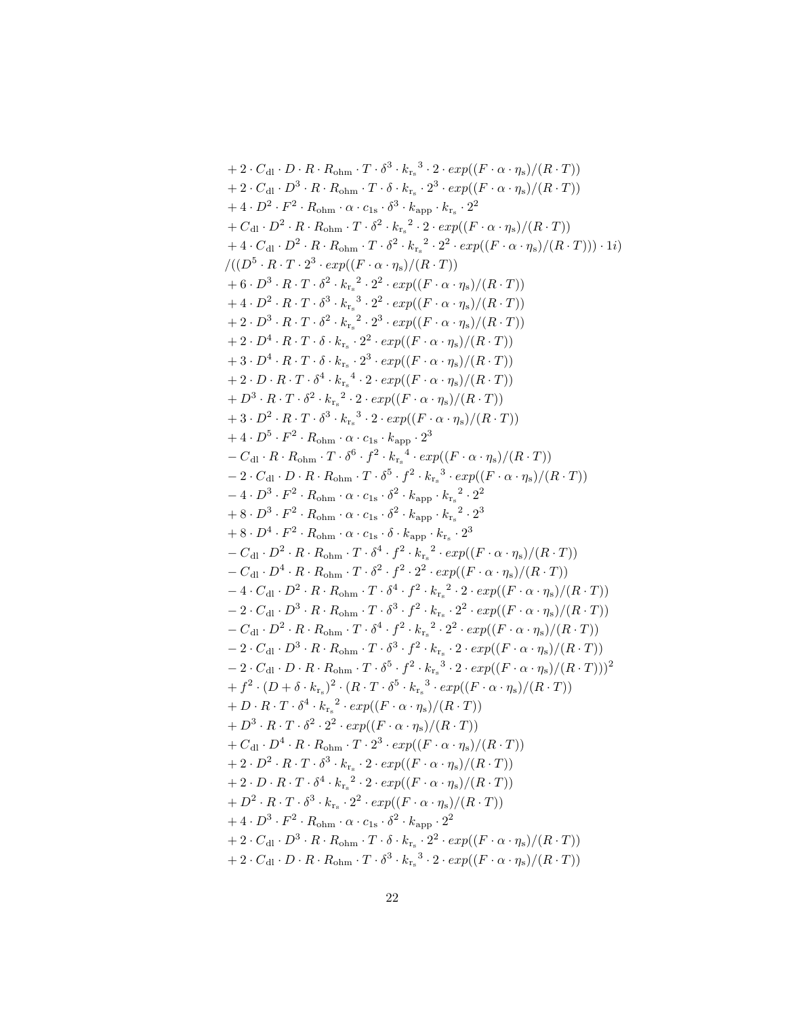+2 
$$
\cdot
$$
C<sub>d</sub>:  $D \cdot R \cdot R_{\text{ohm}} \cdot T \cdot \delta^3 \cdot k_x^3 \cdot 2 \cdot exp((F \cdot \alpha \cdot \eta_s)/(R \cdot T))$   
+2  $\cdot$ C<sub>d</sub>:  $D^3 \cdot R \cdot R_{\text{ohm}} \cdot T \cdot \delta \cdot k_x^2 \cdot 2^3 \cdot exp((F \cdot \alpha \cdot \eta_s)/(R \cdot T))$   
+4  $\cdot D^2 \cdot R^2 \cdot R_{\text{ohm}} \cdot \alpha \cdot c_{1s} \cdot \delta^3 \cdot k_{\text{app}} \cdot k_x^2 \cdot 2^2$   
+ $C_{d1} \cdot D^2 \cdot R \cdot R_{\text{ohm}} \cdot T \cdot \delta^2 \cdot k_x^2 \cdot 2^2 \cdot exp((F \cdot \alpha \cdot \eta_s)/(R \cdot T))$   
+4  $\cdot$ C<sub>d</sub>:  $D^2 \cdot R \cdot R_{\text{ohm}} \cdot T \cdot \delta^2 \cdot k_x^2 \cdot 2^2 \cdot exp((F \cdot \alpha \cdot \eta_s)/(R \cdot T)))$   
+6  $\cdot D^3 \cdot R \cdot T \cdot 2^3 \cdot exp((F \cdot \alpha \cdot \eta_s)/(R \cdot T))$   
+6  $\cdot D^3 \cdot R \cdot T \cdot 3^2 \cdot k_x^2 \cdot 2^2 \cdot exp((F \cdot \alpha \cdot \eta_s)/(R \cdot T))$   
+1  $2 \cdot D^3 \cdot R \cdot T \cdot \delta^3 \cdot k_x^3 \cdot 2^2 \cdot exp((F \cdot \alpha \cdot \eta_s)/(R \cdot T))$   
+2  $\cdot D^3 \cdot R \cdot T \cdot \delta^3 \cdot k_x^3 \cdot 2^2 \cdot exp((F \cdot \alpha \cdot \eta_s)/(R \cdot T))$   
+2  $\cdot D^3 \cdot R \cdot T \cdot \delta^3 \cdot k_x^3 \cdot 2^2 \cdot exp((F \cdot \alpha \cdot \eta_s)/(R \cdot T))$   
+3  $\cdot D^4 \cdot R \cdot T \cdot \delta \cdot k_x^2 \cdot 2^2 \cdot exp((F \cdot \alpha \cdot \eta_s)/(R \cdot T))$   
+3  $\cdot D^2 \cdot R \cdot T \cdot \delta^3 \cdot k_x^3 \cdot 2^2 \cdot exp((F \cdot \alpha \cdot \eta_s)/(R \cdot T))$   
+4  $\cdot D^5 \cdot R^$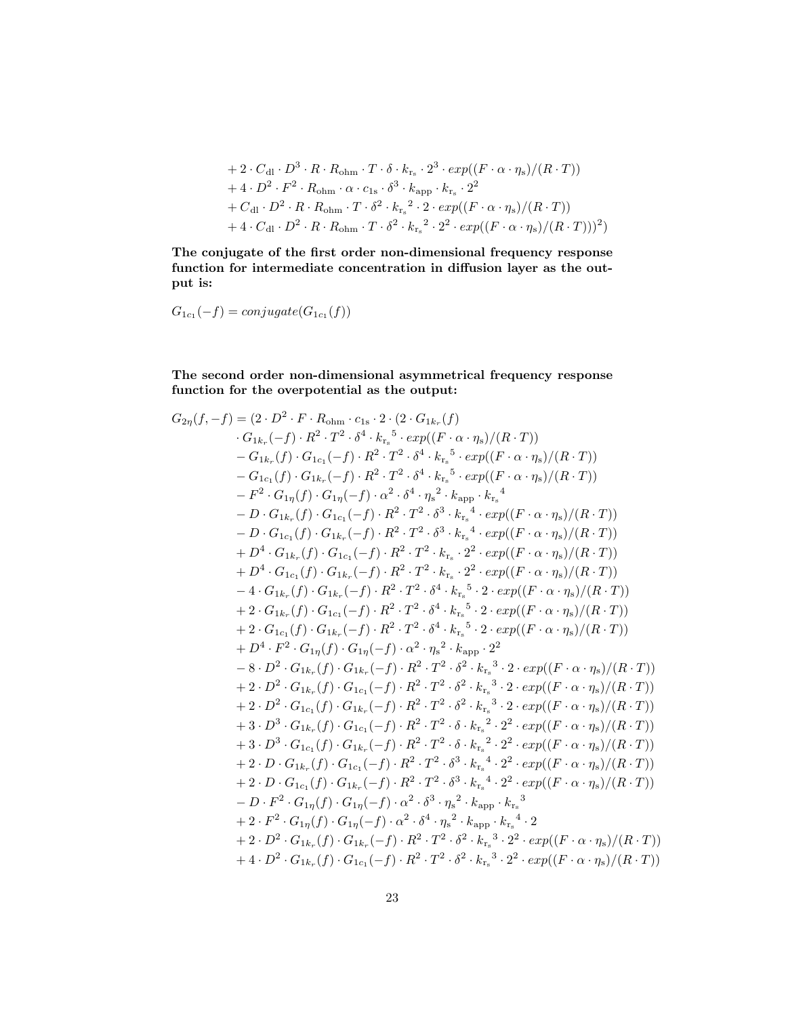+ 2 
$$
\cdot
$$
 C<sub>dl</sub>  $\cdot$  D<sup>3</sup>  $\cdot$  R  $\cdot$  R<sub>ohm</sub>  $\cdot$  T  $\cdot$   $\delta \cdot k_{r_s} \cdot 2^3 \cdot exp((F \cdot \alpha \cdot \eta_s)/(R \cdot T))$   
+ 4  $\cdot$  D<sup>2</sup>  $\cdot$  F<sup>2</sup>  $\cdot$  R<sub>ohm</sub>  $\cdot$   $\alpha \cdot c_{1s} \cdot \delta^3 \cdot k_{app} \cdot k_{r_s} \cdot 2^2$   
+ C<sub>dl</sub>  $\cdot$  D<sup>2</sup>  $\cdot$  R  $\cdot$  R<sub>ohm</sub>  $\cdot$  T  $\cdot$   $\delta^2 \cdot k_{r_s} \cdot 2 \cdot exp((F \cdot \alpha \cdot \eta_s)/(R \cdot T))$   
+ 4  $\cdot$  C<sub>dl</sub>  $\cdot$  D<sup>2</sup>  $\cdot$  R  $\cdot$  R<sub>ohm</sub>  $\cdot$  T  $\cdot$   $\delta^2 \cdot k_{r_s} \cdot 2^2 \cdot exp((F \cdot \alpha \cdot \eta_s)/(R \cdot T)))^2$ 

The conjugate of the first order non-dimensional frequency response function for intermediate concentration in diffusion layer as the output is:

$$
G_{1c_1}(-f) = conjugate(G_{1c_1}(f))
$$

The second order non-dimensional asymmetrical frequency response function for the overpotential as the output:

$$
G_{2\eta}(f,-f) = (2 \cdot D^2 \cdot F \cdot R_{\text{ohm}} \cdot c_{1s} \cdot 2 \cdot (2 \cdot G_{1k_r}(f) \\ G_{1k_r}(-f) \cdot R^2 \cdot T^2 \cdot \delta^4 \cdot k_{r_s}^{-5} \cdot exp((F \cdot \alpha \cdot \eta_s)/(R \cdot T)) \\ - G_{1k_r}(f) \cdot G_{1c_1}(-f) \cdot R^2 \cdot T^2 \cdot \delta^4 \cdot k_{r_s}^{-5} \cdot exp((F \cdot \alpha \cdot \eta_s)/(R \cdot T)) \\ - G_{1c_1}(f) \cdot G_{1k_r}(-f) \cdot R^2 \cdot T^2 \cdot \delta^4 \cdot k_{r_s}^{-5} \cdot exp((F \cdot \alpha \cdot \eta_s)/(R \cdot T)) \\ - F^2 \cdot G_{1\eta}(f) \cdot G_{1\eta}(-f) \cdot \alpha^2 \cdot \delta^4 \cdot \eta_s^{-2} \cdot k_{\text{app}} \cdot k_{r_s}^{-4} \\ - D \cdot G_{1k_r}(f) \cdot G_{1c_1}(-f) \cdot R^2 \cdot T^2 \cdot \delta^3 \cdot k_{r_s}^{-4} \cdot exp((F \cdot \alpha \cdot \eta_s)/(R \cdot T)) \\ - D \cdot G_{1c_1}(f) \cdot G_{1k_r}(-f) \cdot R^2 \cdot T^2 \cdot \delta^3 \cdot k_{r_s}^{-4} \cdot exp((F \cdot \alpha \cdot \eta_s)/(R \cdot T)) \\ + D^4 \cdot G_{1k_r}(f) \cdot G_{1c_1}(-f) \cdot R^2 \cdot T^2 \cdot k_{r_s}^{-2} \cdot 2^2 \cdot exp((F \cdot \alpha \cdot \eta_s)/(R \cdot T)) \\ + D^4 \cdot G_{1c_1}(f) \cdot G_{1k_r}(-f) \cdot R^2 \cdot T^2 \cdot k_{r_s}^{-2} \cdot 2^2 \cdot exp((F \cdot \alpha \cdot \eta_s)/(R \cdot T)) \\ - 4 \cdot G_{1k_r}(f) \cdot G_{1k_r}(-f) \cdot R^2 \cdot T^2 \cdot \delta^4 \cdot k_{r_s}^{-5} \cdot 2 \cdot exp((F \cdot \alpha \cdot \eta_s)/(R \cdot T)) \\ - 2 \cdot G_{1k_r}(f) \cdot G_{1k_r}(-f) \cdot R^2 \cdot T^2 \cdot \delta^4 \cdot k_{r_s}^{-5} \cdot 2 \cdot exp((F \cdot \alpha \cdot \eta_s)/(R \cdot T)) \\ + 2 \cdot G_{
$$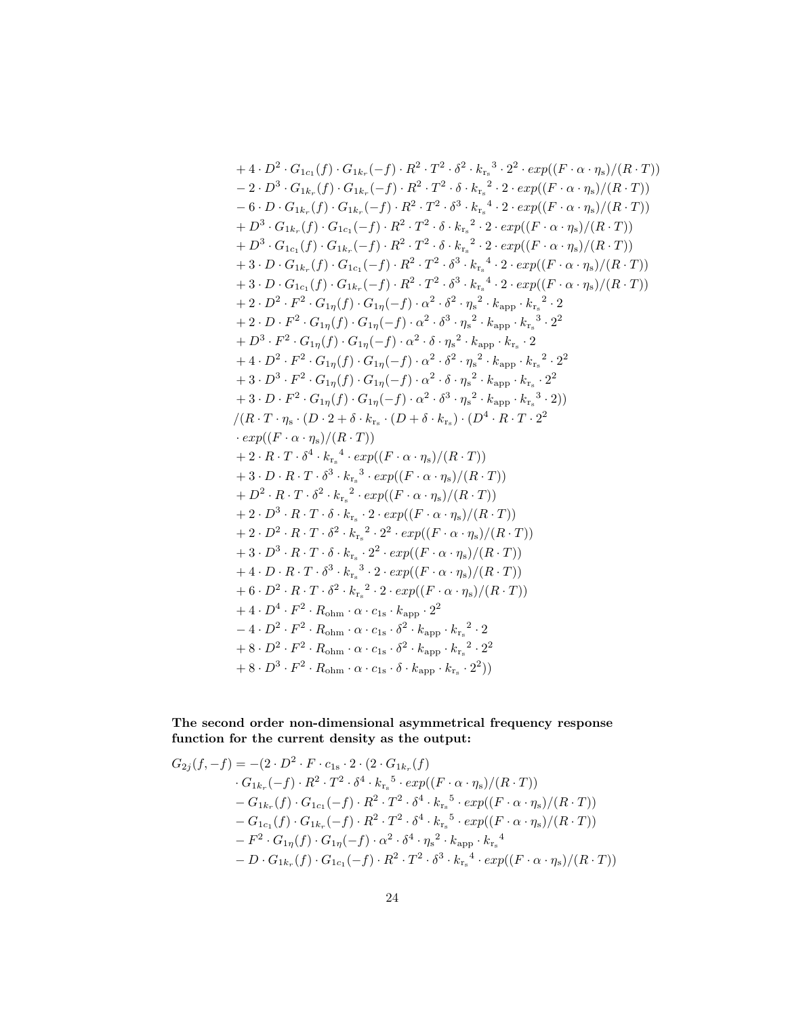+4. 
$$
D^2 \cdot G_{1c_1}(f) \cdot G_{1k_r}(-f) \cdot R^2 \cdot T^2 \cdot \delta^2 \cdot k_{r_s}^3 \cdot 2^2 \cdot exp((F \cdot \alpha \cdot \eta_s)/(R \cdot T))
$$
  
\n- 2.  $D^3 \cdot G_{1k_r}(f) \cdot G_{1k_r}(-f) \cdot R^2 \cdot T^2 \cdot \delta \cdot k_{r_s}^2 \cdot 2 \cdot exp((F \cdot \alpha \cdot \eta_s)/(R \cdot T))$   
\n- 6.  $D \cdot G_{1k_r}(f) \cdot G_{1k_r}(-f) \cdot R^2 \cdot T^2 \cdot \delta^3 \cdot k_{r_s}^4 \cdot 2 \cdot exp((F \cdot \alpha \cdot \eta_s)/(R \cdot T))$   
\n+  $D^3 \cdot G_{1k_r}(f) \cdot G_{1c_1}(-f) \cdot R^2 \cdot T^2 \cdot \delta \cdot k_{r_s}^2 \cdot 2 \cdot exp((F \cdot \alpha \cdot \eta_s)/(R \cdot T))$   
\n+  $D^3 \cdot G_{1c_1}(f) \cdot G_{1k_r}(-f) \cdot R^2 \cdot T^2 \cdot \delta \cdot k_{r_s}^2 \cdot 2 \cdot exp((F \cdot \alpha \cdot \eta_s)/(R \cdot T))$   
\n+ 3.  $D \cdot G_{1k_r}(f) \cdot G_{1c_1}(-f) \cdot R^2 \cdot T^2 \cdot \delta^3 \cdot k_{r_s}^4 \cdot 2 \cdot exp((F \cdot \alpha \cdot \eta_s)/(R \cdot T))$   
\n+ 3.  $D \cdot G_{1c_1}(f) \cdot G_{1k_r}(-f) \cdot R^2 \cdot T^2 \cdot \delta^3 \cdot k_{r_s}^4 \cdot 2 \cdot exp((F \cdot \alpha \cdot \eta_s)/(R \cdot T))$   
\n+ 2.  $D^2 \cdot F^2 \cdot G_{1\eta}(f) \cdot G_{1\eta}(-f) \cdot \alpha^2 \cdot \delta^3 \cdot \eta_s^2 \cdot k_{\text{app}} \cdot k_{r_s}^2 \cdot 2$   
\n+ 2.  $D \cdot F^2 \cdot G_{1\eta}(f) \cdot G_{1\eta}(-f) \cdot \alpha^2 \cdot \delta^3 \cdot \eta_s^2 \cdot k_{\text{app}} \cdot k_{r_s}^2 \cdot 2$   
\n+ 4.  $D^2 \cdot F^2 \cdot G_{1\$ 

The second order non-dimensional asymmetrical frequency response function for the current density as the output:

$$
G_{2j}(f,-f) = -(2 \cdot D^2 \cdot F \cdot c_{1s} \cdot 2 \cdot (2 \cdot G_{1k_r}(f))
$$
  
\n
$$
\cdot G_{1k_r}(-f) \cdot R^2 \cdot T^2 \cdot \delta^4 \cdot k_{r_s}^5 \cdot exp((F \cdot \alpha \cdot \eta_s)/(R \cdot T))
$$
  
\n
$$
- G_{1k_r}(f) \cdot G_{1c_1}(-f) \cdot R^2 \cdot T^2 \cdot \delta^4 \cdot k_{r_s}^5 \cdot exp((F \cdot \alpha \cdot \eta_s)/(R \cdot T))
$$
  
\n
$$
- G_{1c_1}(f) \cdot G_{1k_r}(-f) \cdot R^2 \cdot T^2 \cdot \delta^4 \cdot k_{r_s}^5 \cdot exp((F \cdot \alpha \cdot \eta_s)/(R \cdot T))
$$
  
\n
$$
- F^2 \cdot G_{1\eta}(f) \cdot G_{1\eta}(-f) \cdot \alpha^2 \cdot \delta^4 \cdot \eta_s^2 \cdot k_{\text{app}} \cdot k_{r_s}^4
$$
  
\n
$$
- D \cdot G_{1k_r}(f) \cdot G_{1c_1}(-f) \cdot R^2 \cdot T^2 \cdot \delta^3 \cdot k_{r_s}^4 \cdot exp((F \cdot \alpha \cdot \eta_s)/(R \cdot T))
$$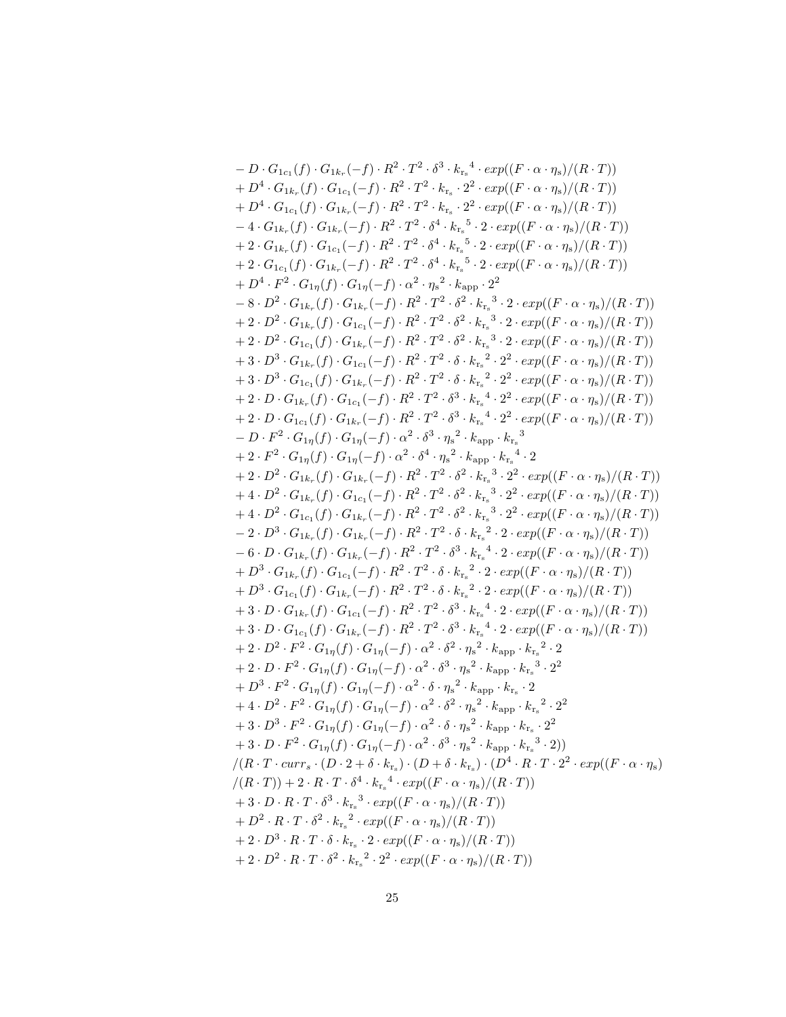$$
-D \cdot G_{1c_{1}}(f) \cdot G_{1c_{1}}(-f) \cdot R^{2} \cdot T^{2} \cdot \delta^{3} \cdot k_{r_{s}}^{*} \cdot 2 \cdot \exp((F \cdot \alpha \cdot \eta_{s})/(R \cdot T))
$$
  
\n
$$
+D^{4} \cdot G_{1k_{r}}(f) \cdot G_{1c_{1}}(-f) \cdot R^{2} \cdot T^{2} \cdot k_{r_{s}} \cdot 2^{2} \cdot \exp((F \cdot \alpha \cdot \eta_{s})/(R \cdot T))
$$
  
\n
$$
+D^{4} \cdot G_{1c_{1}}(f) \cdot G_{1k_{r}}(-f) \cdot R^{2} \cdot T^{2} \cdot k_{r_{s}} \cdot 2^{2} \cdot \exp((F \cdot \alpha \cdot \eta_{s})/(R \cdot T))
$$
  
\n
$$
-4 \cdot G_{1k_{r}}(f) \cdot G_{1k_{r}}(-f) \cdot R^{2} \cdot T^{2} \cdot \delta^{4} \cdot k_{r_{s}}^{5} \cdot 2 \cdot \exp((F \cdot \alpha \cdot \eta_{s})/(R \cdot T))
$$
  
\n
$$
+2 \cdot G_{1c_{1}}(f) \cdot G_{1k_{r}}(-f) \cdot R^{2} \cdot T^{2} \cdot \delta^{4} \cdot k_{r_{s}}^{5} \cdot 2 \cdot \exp((F \cdot \alpha \cdot \eta_{s})/(R \cdot T))
$$
  
\n
$$
+2 \cdot G_{1c_{1}}(f) \cdot G_{1k_{r}}(-f) \cdot R^{2} \cdot T^{2} \cdot \delta^{4} \cdot k_{r_{s}}^{5} \cdot 2 \cdot \exp((F \cdot \alpha \cdot \eta_{s})/(R \cdot T))
$$
  
\n
$$
+2 \cdot D^{2} \cdot G_{1k_{r}}(f) \cdot G_{1k_{r}}(-f) \cdot R^{2} \cdot T^{2} \cdot \delta^{2} \cdot k_{r_{s}}^{3} \cdot 2 \cdot \exp((F \cdot \alpha \cdot \eta_{s})/(R \cdot T))
$$
  
\n
$$
+2 \cdot D^{2} \cdot G_{1k_{r}}(f) \cdot G_{1k_{r}}(-f) \cdot R^{2} \cdot T^{2} \cdot \delta^{2} \cdot k_{r_{s}}^{3} \cdot 2 \cdot \exp((F \cdot \alpha \cdot \eta_{s})/(R \cdot T))
$$
  
\n<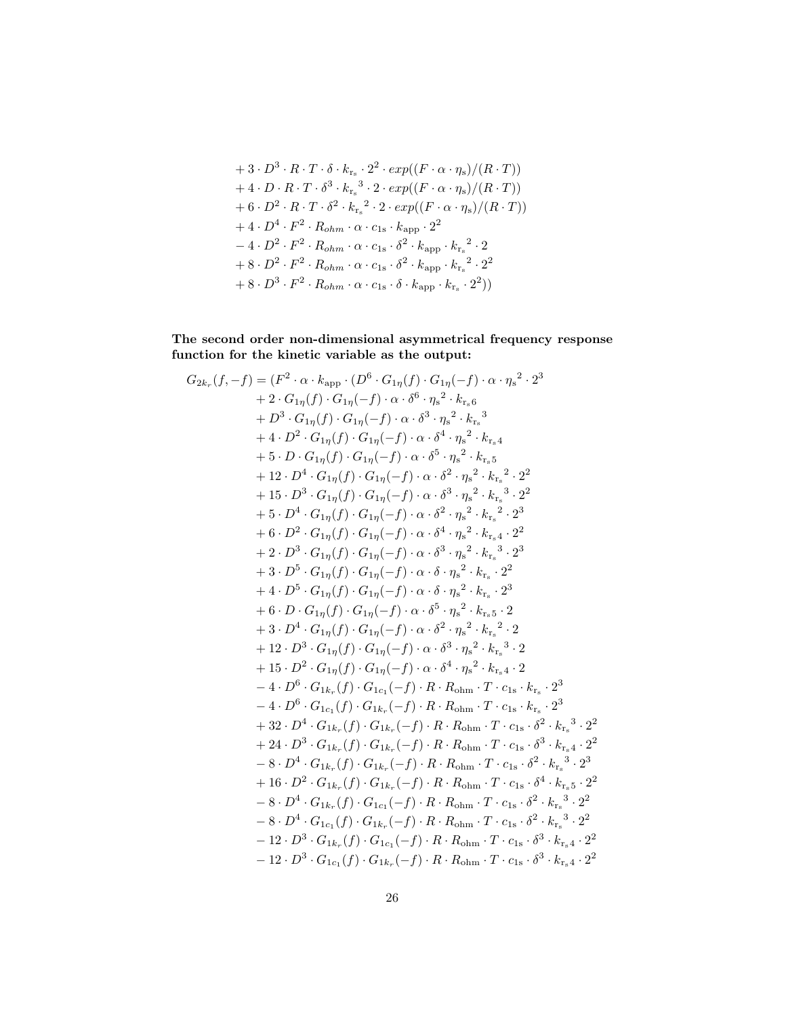+3 
$$
\cdot D^3 \cdot R \cdot T \cdot \delta \cdot k_{r_s} \cdot 2^2 \cdot exp((F \cdot \alpha \cdot \eta_s)/(R \cdot T))
$$
  
+4  $\cdot D \cdot R \cdot T \cdot \delta^3 \cdot k_{r_s}^3 \cdot 2 \cdot exp((F \cdot \alpha \cdot \eta_s)/(R \cdot T))$   
+6  $\cdot D^2 \cdot R \cdot T \cdot \delta^2 \cdot k_{r_s}^2 \cdot 2 \cdot exp((F \cdot \alpha \cdot \eta_s)/(R \cdot T))$   
+4  $\cdot D^4 \cdot F^2 \cdot R_{ohm} \cdot \alpha \cdot c_{1s} \cdot k_{app} \cdot 2^2$   
-4  $\cdot D^2 \cdot F^2 \cdot R_{ohm} \cdot \alpha \cdot c_{1s} \cdot \delta^2 \cdot k_{app} \cdot k_{r_s}^2 \cdot 2$   
+8  $\cdot D^2 \cdot F^2 \cdot R_{ohm} \cdot \alpha \cdot c_{1s} \cdot \delta^2 \cdot k_{app} \cdot k_{r_s}^2 \cdot 2^2$   
+8  $\cdot D^3 \cdot F^2 \cdot R_{ohm} \cdot \alpha \cdot c_{1s} \cdot \delta \cdot k_{app} \cdot k_{r_s} \cdot 2^2)$ 

The second order non-dimensional asymmetrical frequency response function for the kinetic variable as the output:

$$
G_{2k_r}(f,-f) = (F^2 \cdot \alpha \cdot k_{app} \cdot (D^6 \cdot G_{1\eta}(f)) \cdot G_{1\eta}(-f) \cdot \alpha \cdot \eta_s^2 \cdot 2^3 + 2 \cdot G_{1\eta}(f) \cdot G_{1\eta}(-f) \cdot \alpha \cdot \delta^6 \cdot \eta_s^2 \cdot k_{r_s6} + D^3 \cdot G_{1\eta}(f) \cdot G_{1\eta}(-f) \cdot \alpha \cdot \delta^3 \cdot \eta_s^2 \cdot k_{r_s6}^3 + 4 \cdot D^2 \cdot G_{1\eta}(f) \cdot G_{1\eta}(-f) \cdot \alpha \cdot \delta^4 \cdot \eta_s^2 \cdot k_{r_s4} + 5 \cdot D \cdot G_{1\eta}(f) \cdot G_{1\eta}(-f) \cdot \alpha \cdot \delta^5 \cdot \eta_s^2 \cdot k_{r_s5}^2 + 12 \cdot D^4 \cdot G_{1\eta}(f) \cdot G_{1\eta}(-f) \cdot \alpha \cdot \delta^2 \cdot \eta_s^2 \cdot k_{r_s5}^2 \cdot 2^2 + 15 \cdot D^3 \cdot G_{1\eta}(f) \cdot G_{1\eta}(-f) \cdot \alpha \cdot \delta^2 \cdot \eta_s^2 \cdot k_{r_s}^2 \cdot 2^2 + 15 \cdot D^3 \cdot G_{1\eta}(f) \cdot G_{1\eta}(-f) \cdot \alpha \cdot \delta^3 \cdot \eta_s^2 \cdot k_{r_s}^2 \cdot 2^2 + 5 \cdot D^4 \cdot G_{1\eta}(f) \cdot G_{1\eta}(-f) \cdot \alpha \cdot \delta^3 \cdot \eta_s^2 \cdot k_{r_s}^2 \cdot 2^2 + 6 \cdot D^2 \cdot G_{1\eta}(f) \cdot G_{1\eta}(-f) \cdot \alpha \cdot \delta^3 \cdot \eta_s^2 \cdot k_{r_s}^2 \cdot 2^2 + 2 \cdot D^3 \cdot G_{1\eta}(f) \cdot G_{1\eta}(-f) \cdot \alpha \cdot \delta^3 \cdot \eta_s^2 \cdot k_{r_s}^2 \cdot 2^2 + 3 \cdot D^5 \cdot G_{1\eta}(f) \cdot G_{1\eta}(-f) \cdot \alpha \cdot \delta^3 \cdot \eta_s^2 \cdot k_{r_s} \cdot 2^2 + 4 \cdot D^5 \cdot G_{1\eta}(f) \cdot G_{1\eta}(-f
$$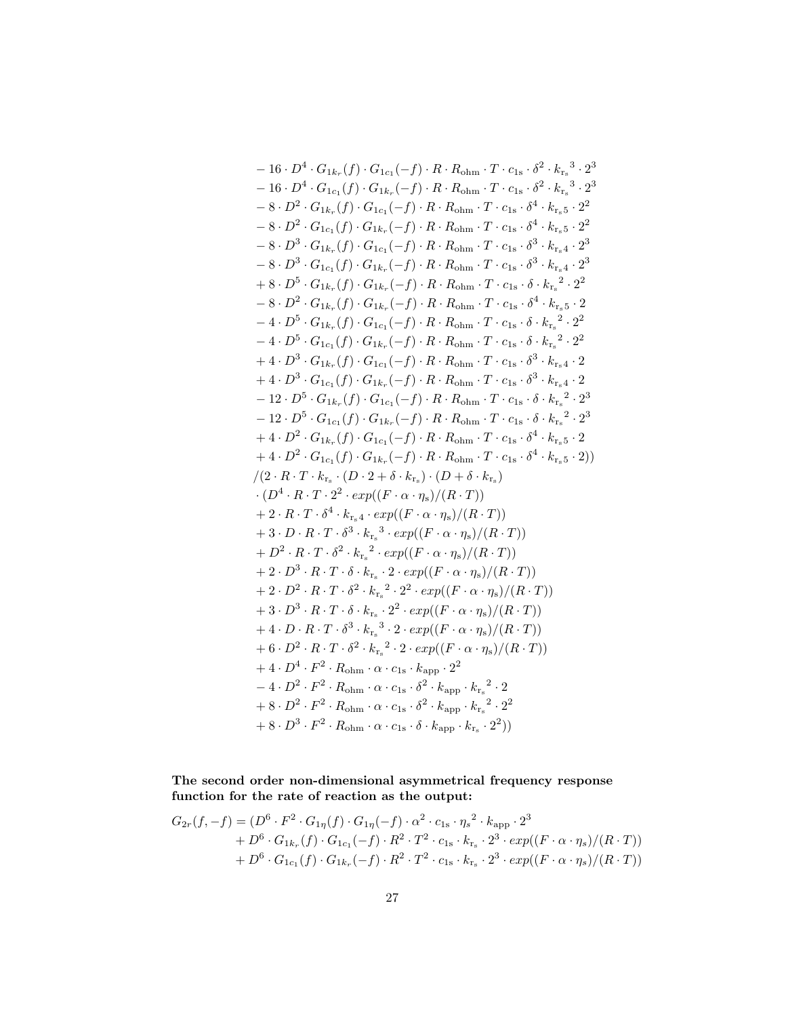$$
-16 \cdot D^4 \cdot G_{1k_r}(f) \cdot G_{1c_1}(-f) \cdot R \cdot R_{\text{ohm}} \cdot T \cdot c_{1s} \cdot \delta^2 \cdot k_{r_s}^3 \cdot 2^3
$$
  
\n
$$
-16 \cdot D^4 \cdot G_{1c_1}(f) \cdot G_{1k_r}(-f) \cdot R \cdot R_{\text{ohm}} \cdot T \cdot c_{1s} \cdot \delta^2 \cdot k_{r_s}^3 \cdot 2^3
$$
  
\n
$$
-8 \cdot D^2 \cdot G_{1k_r}(f) \cdot G_{1c_1}(-f) \cdot R \cdot R_{\text{ohm}} \cdot T \cdot c_{1s} \cdot \delta^4 \cdot k_{r_s5} \cdot 2^2
$$
  
\n
$$
-8 \cdot D^3 \cdot G_{1k_r}(f) \cdot G_{1c_1}(-f) \cdot R \cdot R_{\text{ohm}} \cdot T \cdot c_{1s} \cdot \delta^4 \cdot k_{r_s5} \cdot 2^2
$$
  
\n
$$
-8 \cdot D^3 \cdot G_{1c_1}(f) \cdot G_{1k_r}(-f) \cdot R \cdot R_{\text{ohm}} \cdot T \cdot c_{1s} \cdot \delta^3 \cdot k_{r_s4} \cdot 2^3
$$
  
\n
$$
-8 \cdot D^3 \cdot G_{1c_1}(f) \cdot G_{1k_r}(-f) \cdot R \cdot R_{\text{ohm}} \cdot T \cdot c_{1s} \cdot \delta^3 \cdot k_{r_s4} \cdot 2^3
$$
  
\n
$$
+8 \cdot D^5 \cdot G_{1k_r}(f) \cdot G_{1k_r}(-f) \cdot R \cdot R_{\text{ohm}} \cdot T \cdot c_{1s} \cdot \delta \cdot k_{r_s}^2 \cdot 2^2
$$
  
\n
$$
-4 \cdot D^5 \cdot G_{1k_r}(f) \cdot G_{1c_1}(-f) \cdot R \cdot R_{\text{ohm}} \cdot T \cdot c_{1s} \cdot \delta \cdot k_{r_s}^2 \cdot 2^2
$$
  
\n
$$
-4 \cdot D^5 \cdot G_{1c_1}(f) \cdot G_{1c_1}(-f) \cdot R \cdot R_{\text{ohm}} \cdot T \cdot c_{1s} \cdot \delta \cdot k_{r_s}^2 \cdot 2^2
$$
  
\n
$$
+4
$$

The second order non-dimensional asymmetrical frequency response function for the rate of reaction as the output:

$$
G_{2r}(f,-f) = (D^6 \cdot F^2 \cdot G_{1\eta}(f) \cdot G_{1\eta}(-f) \cdot \alpha^2 \cdot c_{1s} \cdot {\eta_s}^2 \cdot k_{\rm app} \cdot 2^3 + D^6 \cdot G_{1k_r}(f) \cdot G_{1c_1}(-f) \cdot R^2 \cdot T^2 \cdot c_{1s} \cdot k_{r_s} \cdot 2^3 \cdot exp((F \cdot \alpha \cdot {\eta_s})/(R \cdot T)) + D^6 \cdot G_{1c_1}(f) \cdot G_{1k_r}(-f) \cdot R^2 \cdot T^2 \cdot c_{1s} \cdot k_{r_s} \cdot 2^3 \cdot exp((F \cdot \alpha \cdot {\eta_s})/(R \cdot T))
$$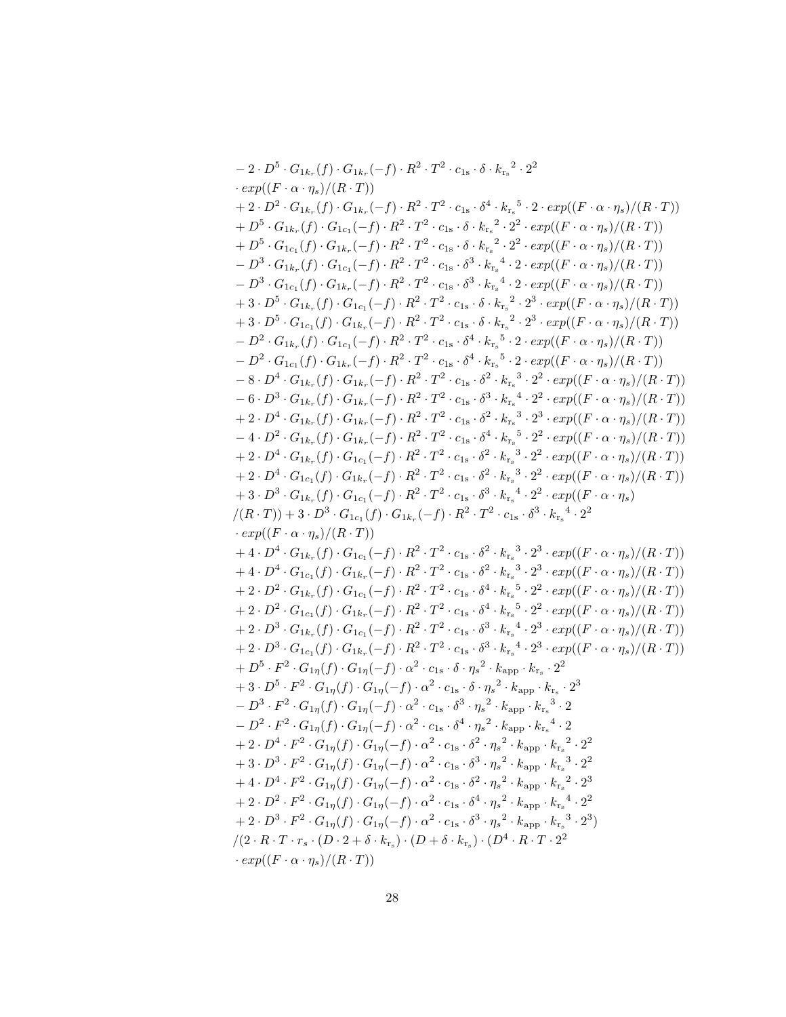$$
-2 \cdot D^5 \cdot G_{1k_r}(f) \cdot G_{1k_r}(-f) \cdot R^2 \cdot T^2 \cdot c_{1s} \cdot \delta \cdot k_{r_s}^2 \cdot 2^2
$$
  
\n
$$
\cdot exp((F \cdot \alpha \cdot \eta_s)/(R \cdot T))
$$
\n
$$
+ 2 \cdot D^2 \cdot G_{1k_r}(f) \cdot G_{1k_r}(-f) \cdot R^2 \cdot T^2 \cdot c_{1s} \cdot \delta \cdot k_{r_s}^2 \cdot 2^2 \cdot exp((F \cdot \alpha \cdot \eta_s)/(R \cdot T))
$$
\n
$$
+ D^5 \cdot G_{1k_r}(f) \cdot G_{1k_r}(-f) \cdot R^2 \cdot T^2 \cdot c_{1s} \cdot \delta \cdot k_{r_s}^2 \cdot 2^2 \cdot exp((F \cdot \alpha \cdot \eta_s)/(R \cdot T))
$$
\n
$$
+ D^5 \cdot G_{1k_r}(f) \cdot G_{1k_r}(-f) \cdot R^2 \cdot T^2 \cdot c_{1s} \cdot \delta \cdot k_{r_s}^2 \cdot 2^2 \cdot exp((F \cdot \alpha \cdot \eta_s)/(R \cdot T))
$$
\n
$$
- D^3 \cdot G_{1k_r}(f) \cdot G_{1k_r}(-f) \cdot R^2 \cdot T^2 \cdot c_{1s} \cdot \delta^3 \cdot k_{r_s}^4 \cdot 2 \cdot exp((F \cdot \alpha \cdot \eta_s)/(R \cdot T))
$$
\n
$$
- D^3 \cdot G_{1k_r}(f) \cdot G_{1k_r}(-f) \cdot R^2 \cdot T^2 \cdot c_{1s} \cdot \delta^3 \cdot k_{r_s}^4 \cdot 2 \cdot exp((F \cdot \alpha \cdot \eta_s)/(R \cdot T))
$$
\n
$$
+ 3 \cdot D^5 \cdot G_{1k_r}(f) \cdot G_{1k_r}(-f) \cdot R^2 \cdot T^2 \cdot c_{1s} \cdot \delta \cdot k_{r_s}^2 \cdot 2^3 \cdot exp((F \cdot \alpha \cdot \eta_s)/(R \cdot T))
$$
\n
$$
+ 3 \cdot D^5 \cdot G_{1k_r}(f) \cdot G_{1k_r}(-f) \cdot R^2 \cdot T^2 \cdot c_{1s} \cdot \delta \cdot k_{r_s}^2 \cdot 2^3 \cdot exp((F \cdot \alpha \cdot \eta_s)/(R \cdot T))
$$
\n
$$
- D^2 \
$$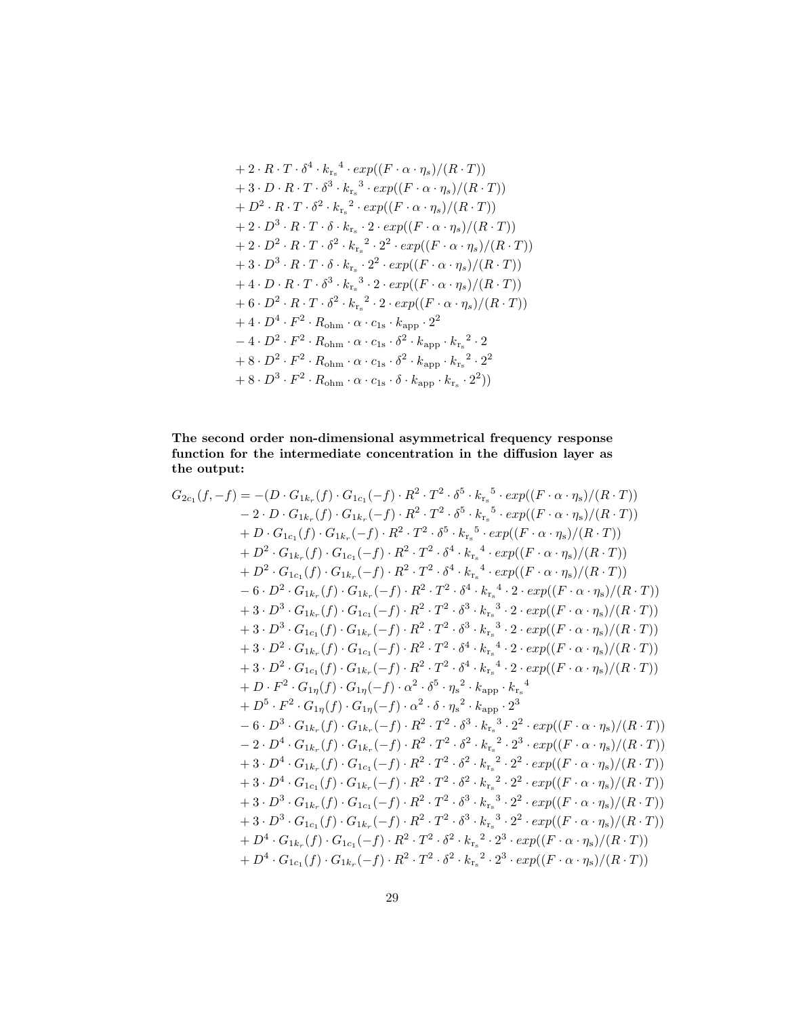+2 
$$
\cdot R \cdot T \cdot \delta^4 \cdot k_{r_s}{}^4 \cdot exp((F \cdot \alpha \cdot \eta_s)/(R \cdot T))
$$
  
+3  $\cdot D \cdot R \cdot T \cdot \delta^3 \cdot k_{r_s}{}^3 \cdot exp((F \cdot \alpha \cdot \eta_s)/(R \cdot T))$   
+D<sup>2</sup>  $\cdot R \cdot T \cdot \delta^2 \cdot k_{r_s}{}^2 \cdot exp((F \cdot \alpha \cdot \eta_s)/(R \cdot T))$   
+2  $\cdot D^3 \cdot R \cdot T \cdot \delta \cdot k_{r_s} \cdot 2 \cdot exp((F \cdot \alpha \cdot \eta_s)/(R \cdot T))$   
+2  $\cdot D^2 \cdot R \cdot T \cdot \delta^2 \cdot k_{r_s}{}^2 \cdot 2^2 \cdot exp((F \cdot \alpha \cdot \eta_s)/(R \cdot T))$   
+3  $\cdot D^3 \cdot R \cdot T \cdot \delta \cdot k_{r_s} \cdot 2^2 \cdot exp((F \cdot \alpha \cdot \eta_s)/(R \cdot T))$   
+4  $\cdot D \cdot R \cdot T \cdot \delta^3 \cdot k_{r_s}{}^3 \cdot 2 \cdot exp((F \cdot \alpha \cdot \eta_s)/(R \cdot T))$   
+6  $\cdot D^2 \cdot R \cdot T \cdot \delta^2 \cdot k_{r_s}{}^2 \cdot 2 \cdot exp((F \cdot \alpha \cdot \eta_s)/(R \cdot T))$   
+4  $\cdot D^4 \cdot F^2 \cdot R_{\text{ohm}} \cdot \alpha \cdot c_{1s} \cdot k_{\text{app}} \cdot 2^2$   
-4  $\cdot D^2 \cdot F^2 \cdot R_{\text{ohm}} \cdot \alpha \cdot c_{1s} \cdot \delta^2 \cdot k_{\text{app}} \cdot k_{r_s}{}^2 \cdot 2$   
+8  $\cdot D^2 \cdot F^2 \cdot R_{\text{ohm}} \cdot \alpha \cdot c_{1s} \cdot \delta^2 \cdot k_{\text{app}} \cdot k_{r_s}{}^2 \cdot 2^2$   
+8  $\cdot D^3 \cdot F^2 \cdot R_{\text{ohm}} \cdot \alpha \cdot c_{1s} \cdot \delta \cdot k_{\text{app}} \cdot k_{r_s}{}^2 \cdot 2^2$ 

#### The second order non-dimensional asymmetrical frequency response function for the intermediate concentration in the diffusion layer as the output:

$$
G_{2c_{1}}(f,-f) = -(D \cdot G_{1k_{r}}(f) \cdot G_{1c_{1}}(-f) \cdot R^{2} \cdot T^{2} \cdot \delta^{5} \cdot k_{rs}^{5} \cdot exp((F \cdot \alpha \cdot \eta_{s})/(R \cdot T))
$$
  
\n
$$
- 2 \cdot D \cdot G_{1k_{r}}(f) \cdot G_{1k_{r}}(-f) \cdot R^{2} \cdot T^{2} \cdot \delta^{5} \cdot k_{rs}^{5} \cdot exp((F \cdot \alpha \cdot \eta_{s})/(R \cdot T))
$$
  
\n
$$
+ D \cdot G_{1c_{1}}(f) \cdot G_{1k_{r}}(-f) \cdot R^{2} \cdot T^{2} \cdot \delta^{5} \cdot k_{rs}^{5} \cdot exp((F \cdot \alpha \cdot \eta_{s})/(R \cdot T))
$$
  
\n
$$
+ D^{2} \cdot G_{1k_{r}}(f) \cdot G_{1c_{1}}(-f) \cdot R^{2} \cdot T^{2} \cdot \delta^{4} \cdot k_{rs}^{4} \cdot exp((F \cdot \alpha \cdot \eta_{s})/(R \cdot T))
$$
  
\n
$$
+ D^{2} \cdot G_{1c_{1}}(f) \cdot G_{1k_{r}}(-f) \cdot R^{2} \cdot T^{2} \cdot \delta^{4} \cdot k_{rs}^{4} \cdot exp((F \cdot \alpha \cdot \eta_{s})/(R \cdot T))
$$
  
\n
$$
- 6 \cdot D^{2} \cdot G_{1k_{r}}(f) \cdot G_{1k_{r}}(-f) \cdot R^{2} \cdot T^{2} \cdot \delta^{4} \cdot k_{rs}^{4} \cdot 2 \cdot exp((F \cdot \alpha \cdot \eta_{s})/(R \cdot T))
$$
  
\n
$$
+ 3 \cdot D^{3} \cdot G_{1k_{r}}(f) \cdot G_{1c_{1}}(-f) \cdot R^{2} \cdot T^{2} \cdot \delta^{4} \cdot k_{rs}^{4} \cdot 2 \cdot exp((F \cdot \alpha \cdot \eta_{s})/(R \cdot T))
$$
  
\n
$$
+ 3 \cdot D^{2} \cdot G_{1k_{r}}(f) \cdot G_{1c_{1}}(-f) \cdot R^{2} \cdot T^{2} \cdot \delta^{4} \cdot k_{rs}^{4} \cdot 2 \cdot exp((F \cdot \alpha \cdot \eta_{s})/(R \cdot T))
$$
  
\n<math display="block</math>